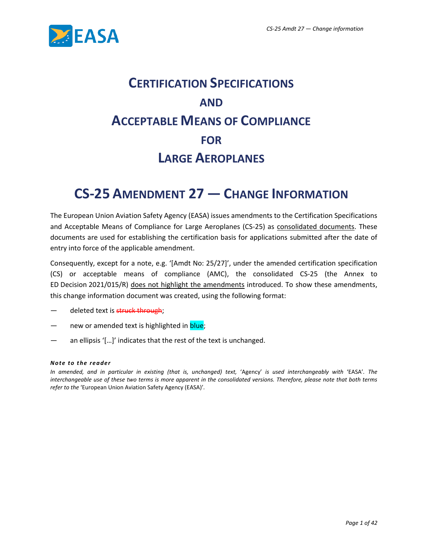

# **CERTIFICATION SPECIFICATIONS AND ACCEPTABLE MEANS OF COMPLIANCE FOR LARGE AEROPLANES**

## **CS-25 AMENDMENT 27 — CHANGE INFORMATION**

The European Union Aviation Safety Agency (EASA) issues amendments to the Certification Specifications and Acceptable Means of Compliance for Large Aeroplanes (CS-25) as consolidated documents. These documents are used for establishing the certification basis for applications submitted after the date of entry into force of the applicable amendment.

Consequently, except for a note, e.g. '[Amdt No: 25/27]', under the amended certification specification (CS) or acceptable means of compliance (AMC), the consolidated CS-25 (the Annex to ED Decision 2021/015/R) does not highlight the amendments introduced. To show these amendments, this change information document was created, using the following format:

- deleted text is struck through;
- new or amended text is highlighted in blue;
- an ellipsis '[...]' indicates that the rest of the text is unchanged.

#### *Note to the re ade r*

*In amended, and in particular in existing (that is, unchanged) text,* 'Agency' *is used interchangeably with* 'EASA'*. The interchangeable use of these two terms is more apparent in the consolidated versions. Therefore, please note that both terms refer to the* 'European Union Aviation Safety Agency (EASA)'*.*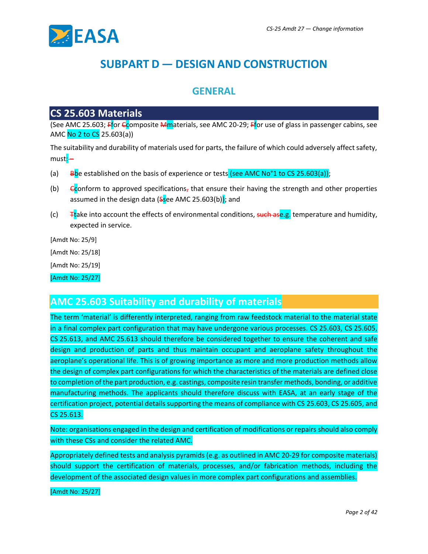

## **SUBPART D — DESIGN AND CONSTRUCTION**

### **GENERAL**

### **CS 25.603 Materials**

(See AMC 25.603; Ffor Ccomposite Mmaterials, see AMC 20-29; Ffor use of glass in passenger cabins, see AMC No 2 to CS 25.603(a))

The suitability and durability of materials used for parts, the failure of which could adversely affect safety, must:-

- (a) Bbe established on the basis of experience or tests (see AMC No<sup>o</sup>1 to CS 25.603(a));
- (b) Econform to approved specifications, that ensure their having the strength and other properties assumed in the design data ( $s$ see AMC 25.603(b)); and
- (c)  $\overline{ }$  Ttake into account the effects of environmental conditions, such ase.g. temperature and humidity, expected in service.

[Amdt No: 25/9]

[Amdt No: 25/18]

[Amdt No: 25/19]

[Amdt No: 25/27]

### **AMC 25.603 Suitability and durability of materials**

The term 'material' is differently interpreted, ranging from raw feedstock material to the material state in a final complex part configuration that may have undergone various processes. CS 25.603, CS 25.605, CS 25.613, and AMC 25.613 should therefore be considered together to ensure the coherent and safe design and production of parts and thus maintain occupant and aeroplane safety throughout the aeroplane's operational life. This is of growing importance as more and more production methods allow the design of complex part configurations for which the characteristics of the materials are defined close to completion of the part production, e.g. castings, composite resin transfer methods, bonding, or additive manufacturing methods. The applicants should therefore discuss with EASA, at an early stage of the certification project, potential details supporting the means of compliance with CS 25.603, CS 25.605, and CS 25.613.

Note: organisations engaged in the design and certification of modifications or repairs should also comply with these CSs and consider the related AMC.

Appropriately defined tests and analysis pyramids (e.g. as outlined in AMC 20-29 for composite materials) should support the certification of materials, processes, and/or fabrication methods, including the development of the associated design values in more complex part configurations and assemblies.

[Amdt No: 25/27]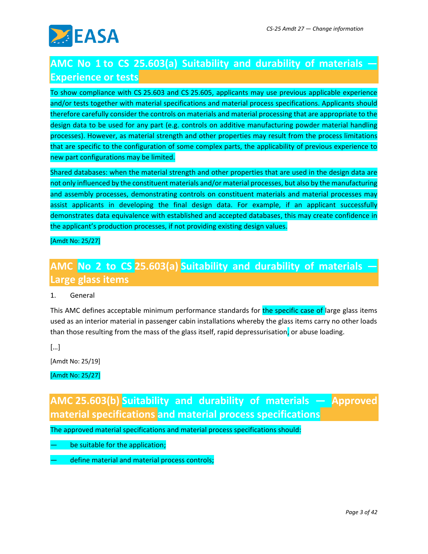

## **AMC No 1 to CS 25.603(a) Suitability and durability of materials — Experience or tests**

To show compliance with CS 25.603 and CS 25.605, applicants may use previous applicable experience and/or tests together with material specifications and material process specifications. Applicants should therefore carefully consider the controls on materials and material processing that are appropriate to the design data to be used for any part (e.g. controls on additive manufacturing powder material handling processes). However, as material strength and other properties may result from the process limitations that are specific to the configuration of some complex parts, the applicability of previous experience to new part configurations may be limited.

Shared databases: when the material strength and other properties that are used in the design data are not only influenced by the constituent materials and/or material processes, but also by the manufacturing and assembly processes, demonstrating controls on constituent materials and material processes may assist applicants in developing the final design data. For example, if an applicant successfully demonstrates data equivalence with established and accepted databases, this may create confidence in the applicant's production processes, if not providing existing design values.

[Amdt No: 25/27]

## **AMC No 2 to CS 25.603(a) Suitability and durability of materials — Large glass items**

1. General

This AMC defines acceptable minimum performance standards for the specific case of large glass items used as an interior material in passenger cabin installations whereby the glass items carry no other loads than those resulting from the mass of the glass itself, rapid depressurisation, or abuse loading.

[…]

[Amdt No: 25/19]

[Amdt No: 25/27]

**AMC 25.603(b) Suitability and durability of materials — Approved material specifications and material process specifications**

The approved material specifications and material process specifications should:

be suitable for the application;

define material and material process controls;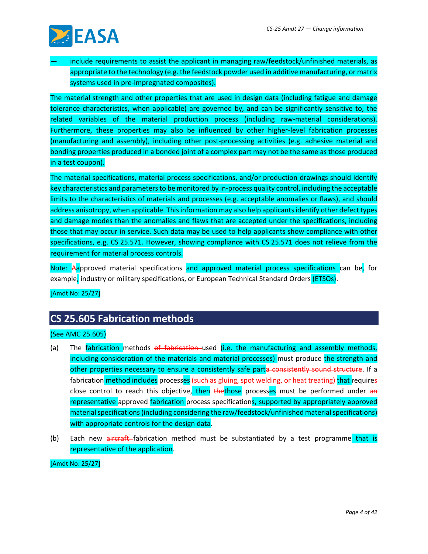

include requirements to assist the applicant in managing raw/feedstock/unfinished materials, as appropriate to the technology (e.g. the feedstock powder used in additive manufacturing, or matrix systems used in pre-impregnated composites).

The material strength and other properties that are used in design data (including fatigue and damage tolerance characteristics, when applicable) are governed by, and can be significantly sensitive to, the related variables of the material production process (including raw-material considerations). Furthermore, these properties may also be influenced by other higher-level fabrication processes (manufacturing and assembly), including other post-processing activities (e.g. adhesive material and bonding properties produced in a bonded joint of a complex part may not be the same as those produced in a test coupon).

The material specifications, material process specifications, and/or production drawings should identify key characteristics and parameters to be monitored by in-process quality control, including the acceptable limits to the characteristics of materials and processes (e.g. acceptable anomalies or flaws), and should address anisotropy, when applicable. This information may also help applicants identify other defect types and damage modes than the anomalies and flaws that are accepted under the specifications, including those that may occur in service. Such data may be used to help applicants show compliance with other specifications, e.g. CS 25.571. However, showing compliance with CS 25.571 does not relieve from the requirement for material process controls.

Note: Aapproved material specifications and approved material process specifications can be, for example, industry or military specifications, or European Technical Standard Orders (ETSOs).

[Amdt No: 25/27]

### **CS 25.605 Fabrication methods**

#### (See AMC 25.605)

- (a) The fabrication methods of fabrication-used (i.e. the manufacturing and assembly methods, including consideration of the materials and material processes) must produce the strength and other properties necessary to ensure a consistently safe parta consistently sound structure. If a fabrication method includes processes (such as gluing, spot welding, or heat treating) that requires close control to reach this objective, then thethose processes must be performed under an representative approved fabrication process specifications, supported by appropriately approved material specifications (including considering the raw/feedstock/unfinished material specifications) with appropriate controls for the design data.
- (b) Each new aircraft fabrication method must be substantiated by a test programme that is representative of the application.

[Amdt No: 25/27]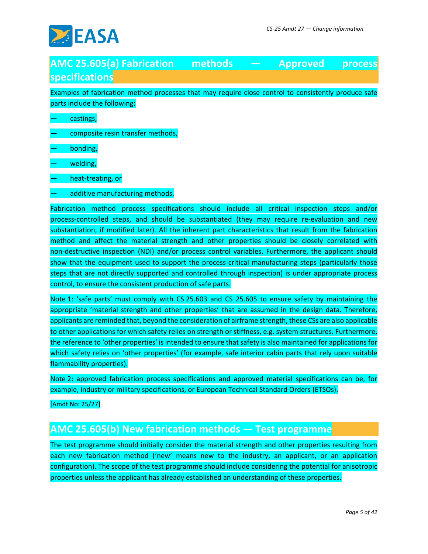

### **AMC 25.605(a) Fabrication methods — Approved process specifications**

Examples of fabrication method processes that may require close control to consistently produce safe parts include the following:

castings,

- composite resin transfer methods,
- bonding,
- welding,
- heat-treating, or
- additive manufacturing methods.

Fabrication method process specifications should include all critical inspection steps and/or process-controlled steps, and should be substantiated (they may require re-evaluation and new substantiation, if modified later). All the inherent part characteristics that result from the fabrication method and affect the material strength and other properties should be closely correlated with non-destructive inspection (NDI) and/or process control variables. Furthermore, the applicant should show that the equipment used to support the process-critical manufacturing steps (particularly those steps that are not directly supported and controlled through inspection) is under appropriate process control, to ensure the consistent production of safe parts.

Note 1: 'safe parts' must comply with CS 25.603 and CS 25.605 to ensure safety by maintaining the appropriate 'material strength and other properties' that are assumed in the design data. Therefore, applicants are reminded that, beyond the consideration of airframe strength, these CSs are also applicable to other applications for which safety relies on strength or stiffness, e.g. system structures. Furthermore, the reference to 'other properties' is intended to ensure that safety is also maintained for applications for which safety relies on 'other properties' (for example, safe interior cabin parts that rely upon suitable flammability properties).

Note 2: approved fabrication process specifications and approved material specifications can be, for example, industry or military specifications, or European Technical Standard Orders (ETSOs).

[Amdt No: 25/27]

## **AMC 25.605(b) New fabrication methods — Test programme**

The test programme should initially consider the material strength and other properties resulting from each new fabrication method ('new' means new to the industry, an applicant, or an application configuration). The scope of the test programme should include considering the potential for anisotropic properties unless the applicant has already established an understanding of these properties.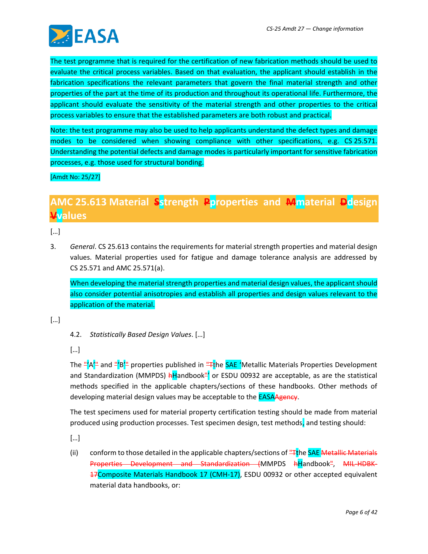

The test programme that is required for the certification of new fabrication methods should be used to evaluate the critical process variables. Based on that evaluation, the applicant should establish in the fabrication specifications the relevant parameters that govern the final material strength and other properties of the part at the time of its production and throughout its operational life. Furthermore, the applicant should evaluate the sensitivity of the material strength and other properties to the critical process variables to ensure that the established parameters are both robust and practical.

Note: the test programme may also be used to help applicants understand the defect types and damage modes to be considered when showing compliance with other specifications, e.g. CS 25.571. Understanding the potential defects and damage modes is particularly important for sensitive fabrication processes, e.g. those used for structural bonding.

[Amdt No: 25/27]

## **AMC 25.613 Material Sstrength Pproperties and Mmaterial Ddesign Vvalues**

[…]

3. *General*. CS 25.613 contains the requirements for material strength properties and material design values. Material properties used for fatigue and damage tolerance analysis are addressed by CS 25.571 and AMC 25.571(a).

When developing the material strength properties and material design values, the applicant should also consider potential anisotropies and establish all properties and design values relevant to the application of the material.

[…]

4.2. *Statistically Based Design Values*. […]

[…]

The "A'" and "B'" properties published in "Tthe SAE 'Metallic Materials Properties Development and Standardization (MMPDS)  $\frac{h}{r}$  and  $b$  or ESDU 00932 are acceptable, as are the statistical methods specified in the applicable chapters/sections of these handbooks. Other methods of developing material design values may be acceptable to the **EASAAgency**.

The test specimens used for material property certification testing should be made from material produced using production processes. Test specimen design, test methods, and testing should:

[…]

(ii) conform to those detailed in the applicable chapters/sections of  $H$ <sub>T</sub>he SAE Metallic Materials Properties Development and Standardization (MMPDS hHandbook", MIL-HDBK-17Composite Materials Handbook 17 (CMH-17), ESDU 00932 or other accepted equivalent material data handbooks, or: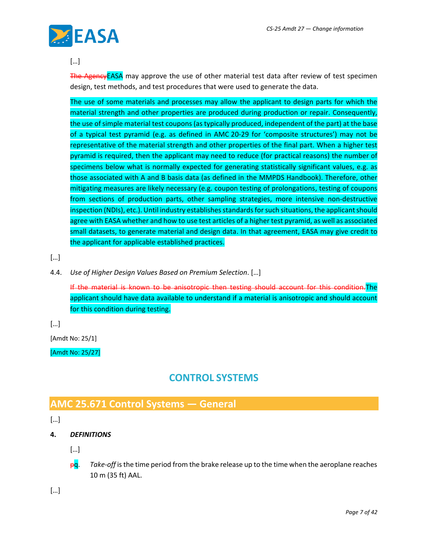

#### […]

The AgencyEASA may approve the use of other material test data after review of test specimen design, test methods, and test procedures that were used to generate the data.

The use of some materials and processes may allow the applicant to design parts for which the material strength and other properties are produced during production or repair. Consequently, the use of simple material test coupons (as typically produced, independent of the part) at the base of a typical test pyramid (e.g. as defined in AMC 20-29 for 'composite structures') may not be representative of the material strength and other properties of the final part. When a higher test pyramid is required, then the applicant may need to reduce (for practical reasons) the number of specimens below what is normally expected for generating statistically significant values, e.g. as those associated with A and B basis data (as defined in the MMPDS Handbook). Therefore, other mitigating measures are likely necessary (e.g. coupon testing of prolongations, testing of coupons from sections of production parts, other sampling strategies, more intensive non-destructive inspection (NDIs), etc.). Until industry establishes standards for such situations, the applicant should agree with EASA whether and how to use test articles of a higher test pyramid, as well as associated small datasets, to generate material and design data. In that agreement, EASA may give credit to the applicant for applicable established practices.

[…]

4.4. *Use of Higher Design Values Based on Premium Selection*. […]

If the material is known to be anisotropic then testing should account for this condition.The applicant should have data available to understand if a material is anisotropic and should account for this condition during testing.

[…]

[Amdt No: 25/1]

[Amdt No: 25/27]

### **CONTROL SYSTEMS**

## **AMC 25.671 Control Systems — General**

[…]

**4.** *DEFINITIONS*

[…]

pq. *Take-off* is the time period from the brake release up to the time when the aeroplane reaches 10 m (35 ft) AAL.

[…]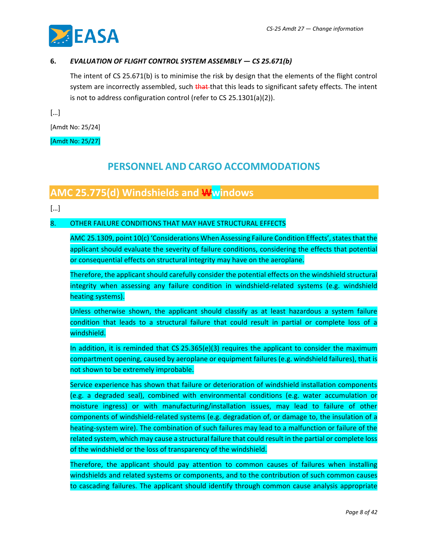

#### **6.** *EVALUATION OF FLIGHT CONTROL SYSTEM ASSEMBLY — CS 25.671(b)*

The intent of CS 25.671(b) is to minimise the risk by design that the elements of the flight control system are incorrectly assembled, such that that this leads to significant safety effects. The intent is not to address configuration control (refer to CS 25.1301(a)(2)).

[…]

[Amdt No: 25/24]

[Amdt No: 25/27]

### **PERSONNEL AND CARGO ACCOMMODATIONS**

### **AMC 25.775(d) Windshields and Wwindows**

[…]

#### 8. OTHER FAILURE CONDITIONS THAT MAY HAVE STRUCTURAL EFFECTS

AMC 25.1309, point 10(c) 'Considerations When Assessing Failure Condition Effects', states that the applicant should evaluate the severity of failure conditions, considering the effects that potential or consequential effects on structural integrity may have on the aeroplane.

Therefore, the applicant should carefully consider the potential effects on the windshield structural integrity when assessing any failure condition in windshield-related systems (e.g. windshield heating systems).

Unless otherwise shown, the applicant should classify as at least hazardous a system failure condition that leads to a structural failure that could result in partial or complete loss of a windshield.

In addition, it is reminded that CS 25.365(e)(3) requires the applicant to consider the maximum compartment opening, caused by aeroplane or equipment failures (e.g. windshield failures), that is not shown to be extremely improbable.

Service experience has shown that failure or deterioration of windshield installation components (e.g. a degraded seal), combined with environmental conditions (e.g. water accumulation or moisture ingress) or with manufacturing/installation issues, may lead to failure of other components of windshield-related systems (e.g. degradation of, or damage to, the insulation of a heating-system wire). The combination of such failures may lead to a malfunction or failure of the related system, which may cause a structural failure that could result in the partial or complete loss of the windshield or the loss of transparency of the windshield.

Therefore, the applicant should pay attention to common causes of failures when installing windshields and related systems or components, and to the contribution of such common causes to cascading failures. The applicant should identify through common cause analysis appropriate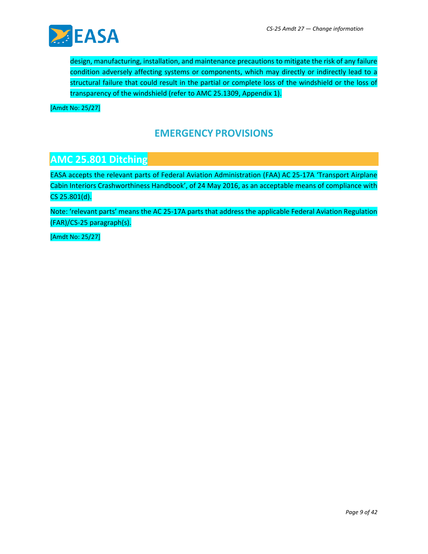

design, manufacturing, installation, and maintenance precautions to mitigate the risk of any failure condition adversely affecting systems or components, which may directly or indirectly lead to a structural failure that could result in the partial or complete loss of the windshield or the loss of transparency of the windshield (refer to AMC 25.1309, Appendix 1).

[Amdt No: 25/27]

### **EMERGENCY PROVISIONS**

### **AMC 25.801 Ditching**

EASA accepts the relevant parts of Federal Aviation Administration (FAA) AC 25-17A 'Transport Airplane Cabin Interiors Crashworthiness Handbook', of 24 May 2016, as an acceptable means of compliance with CS 25.801(d).

Note: 'relevant parts' means the AC 25-17A parts that address the applicable Federal Aviation Regulation (FAR)/CS-25 paragraph(s).

[Amdt No: 25/27]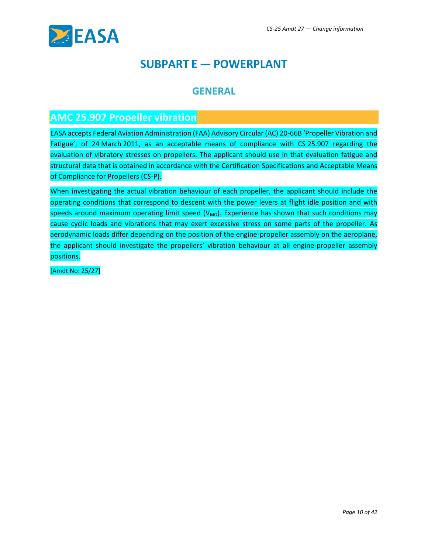

## **SUBPART E — POWERPLANT**

### **GENERAL**

### **AMC 25.907 Propeller vibration**

EASA accepts Federal Aviation Administration (FAA) Advisory Circular (AC) 20-66B 'Propeller Vibration and Fatigue', of 24 March 2011, as an acceptable means of compliance with CS 25.907 regarding the evaluation of vibratory stresses on propellers. The applicant should use in that evaluation fatigue and structural data that is obtained in accordance with the Certification Specifications and Acceptable Means of Compliance for Propellers (CS-P).

When investigating the actual vibration behaviour of each propeller, the applicant should include the operating conditions that correspond to descent with the power levers at flight idle position and with speeds around maximum operating limit speed  $(V_{MO})$ . Experience has shown that such conditions may cause cyclic loads and vibrations that may exert excessive stress on some parts of the propeller. As aerodynamic loads differ depending on the position of the engine-propeller assembly on the aeroplane, the applicant should investigate the propellers' vibration behaviour at all engine-propeller assembly positions.

[Amdt No: 25/27]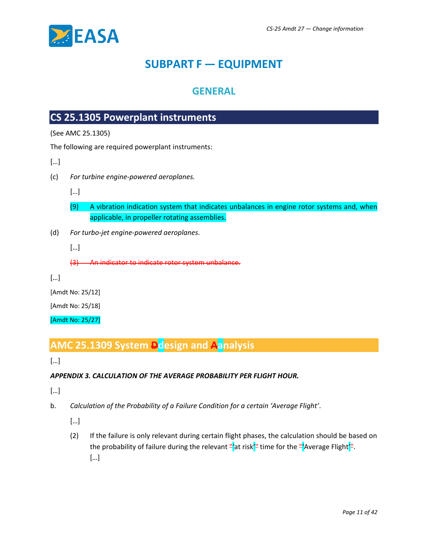

## **SUBPART F — EQUIPMENT**

### **GENERAL**

## **CS 25.1305 Powerplant instruments**

(See AMC 25.1305)

The following are required powerplant instruments:

[…]

(c) *For turbine engine-powered aeroplanes.*

[…]

- (9) A vibration indication system that indicates unbalances in engine rotor systems and, when applicable, in propeller rotating assemblies.
- (d) *For turbo-jet engine-powered aeroplanes*.

[…]

(3) An indicator to indicate rotor system unbalance.

[…]

[Amdt No: 25/12]

[Amdt No: 25/18]

[Amdt No: 25/27]

## **AMC 25.1309 System Ddesign and Aanalysis**

[…]

#### *APPENDIX 3. CALCULATION OF THE AVERAGE PROBABILITY PER FLIGHT HOUR.*

[…]

- b. *Calculation of the Probability of a Failure Condition for a certain 'Average Flight'*.
	- […]
	- (2) If the failure is only relevant during certain flight phases, the calculation should be based on the probability of failure during the relevant "'at risk'" time for the "'Average Flight'". […]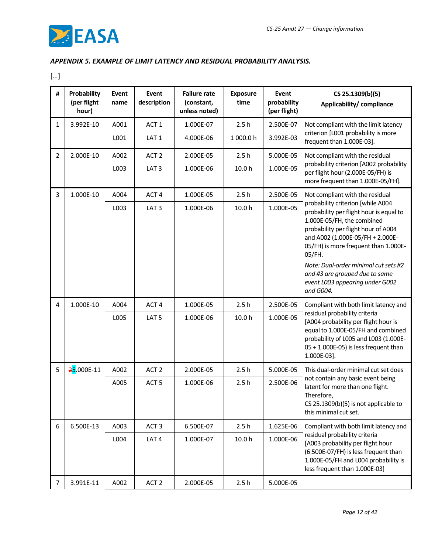

#### *APPENDIX 5. EXAMPLE OF LIMIT LATENCY AND RESIDUAL PROBABILITY ANALYSIS.*

[…]

| #              | Probability<br>(per flight<br>hour) | Event<br>name | Event<br>description | <b>Failure rate</b><br>(constant,<br>unless noted) | <b>Exposure</b><br>time | Event<br>probability<br>(per flight) | CS 25.1309(b)(5)<br>Applicability/compliance                                                                                                                                                                                                                                                                                                                      |  |
|----------------|-------------------------------------|---------------|----------------------|----------------------------------------------------|-------------------------|--------------------------------------|-------------------------------------------------------------------------------------------------------------------------------------------------------------------------------------------------------------------------------------------------------------------------------------------------------------------------------------------------------------------|--|
| 1              | 3.992E-10                           | A001          | ACT <sub>1</sub>     | 1.000E-07                                          | 2.5h                    | 2.500E-07                            | Not compliant with the limit latency                                                                                                                                                                                                                                                                                                                              |  |
|                |                                     | L001          | LAT <sub>1</sub>     | 4.000E-06                                          | 1 000.0 h               | 3.992E-03                            | criterion [L001 probability is more<br>frequent than 1.000E-03].                                                                                                                                                                                                                                                                                                  |  |
| $\overline{2}$ | 2.000E-10                           | A002          | ACT <sub>2</sub>     | 2.000E-05                                          | 2.5h                    | 5.000E-05                            | Not compliant with the residual                                                                                                                                                                                                                                                                                                                                   |  |
|                |                                     | L003          | LAT <sub>3</sub>     | 1.000E-06                                          | 10.0 h                  | 1.000E-05                            | probability criterion [A002 probability<br>per flight hour (2.000E-05/FH) is<br>more frequent than 1.000E-05/FH].                                                                                                                                                                                                                                                 |  |
| 3              | 1.000E-10                           | A004          | ACT <sub>4</sub>     | 1.000E-05                                          | 2.5h                    | 2.500E-05                            | Not compliant with the residual                                                                                                                                                                                                                                                                                                                                   |  |
|                |                                     | L003          | LAT <sub>3</sub>     | 1.000E-06                                          | 10.0 h                  | 1.000E-05                            | probability criterion [while A004<br>probability per flight hour is equal to<br>1.000E-05/FH, the combined<br>probability per flight hour of A004<br>and A002 (1.000E-05/FH + 2.000E-<br>05/FH) is more frequent than 1.000E-<br>05/FH.<br>Note: Dual-order minimal cut sets #2<br>and #3 are grouped due to same<br>event L003 appearing under G002<br>and G004. |  |
| 4              | 1.000E-10                           | A004          | ACT <sub>4</sub>     | 1.000E-05                                          | 2.5h                    | 2.500E-05                            | Compliant with both limit latency and                                                                                                                                                                                                                                                                                                                             |  |
|                |                                     | L005          | LAT <sub>5</sub>     | 1.000E-06                                          | 10.0 h                  | 1.000E-05                            | residual probability criteria<br>[A004 probability per flight hour is<br>equal to 1.000E-05/FH and combined<br>probability of L005 and L003 (1.000E-<br>05 + 1.000E-05) is less frequent than<br>1.000E-03].                                                                                                                                                      |  |
| 5              | 25.000E-11                          | A002          | ACT <sub>2</sub>     | 2.000E-05                                          | 2.5h                    | 5.000E-05                            | This dual-order minimal cut set does                                                                                                                                                                                                                                                                                                                              |  |
|                |                                     | A005          | ACT <sub>5</sub>     | 1.000E-06                                          | 2.5h                    | 2.500E-06                            | not contain any basic event being<br>latent for more than one flight.<br>Therefore,<br>CS 25.1309(b)(5) is not applicable to<br>this minimal cut set.                                                                                                                                                                                                             |  |
| 6              | 6.500E-13                           | A003          | ACT <sub>3</sub>     | 6.500E-07                                          | 2.5h                    | 1.625E-06                            | Compliant with both limit latency and                                                                                                                                                                                                                                                                                                                             |  |
|                |                                     | L004          | LAT <sub>4</sub>     | 1.000E-07                                          | 10.0 h                  | 1.000E-06                            | residual probability criteria<br>[A003 probability per flight hour<br>(6.500E-07/FH) is less frequent than<br>1.000E-05/FH and L004 probability is<br>less frequent than 1.000E-03]                                                                                                                                                                               |  |
| $\overline{7}$ | 3.991E-11                           | A002          | ACT <sub>2</sub>     | 2.000E-05                                          | 2.5h                    | 5.000E-05                            |                                                                                                                                                                                                                                                                                                                                                                   |  |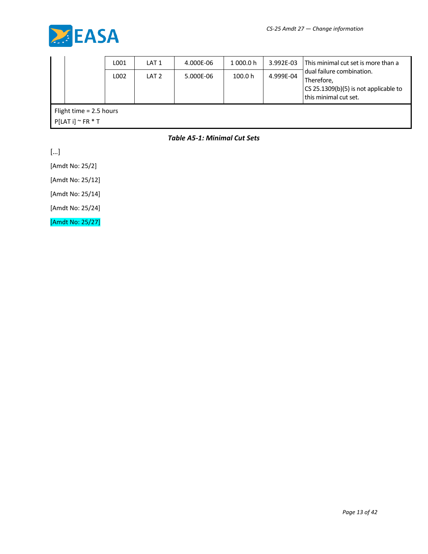

|                                                         |  | L001 | LAT 1            | 4.000E-06 | 1 000.0 h | 3.992E-03 | This minimal cut set is more than a                                                                       |  |
|---------------------------------------------------------|--|------|------------------|-----------|-----------|-----------|-----------------------------------------------------------------------------------------------------------|--|
|                                                         |  | L002 | LAT <sub>2</sub> | 5.000E-06 | 100.0 h   | 4.999E-04 | dual failure combination.<br>Therefore,<br>CS 25.1309(b)(5) is not applicable to<br>this minimal cut set. |  |
| Flight time $= 2.5$ hours<br>$P[LAT i]$ $\sim$ FR $*$ T |  |      |                  |           |           |           |                                                                                                           |  |

*Table A5-1: Minimal Cut Sets*

[…]

[Amdt No: 25/2]

[Amdt No: 25/12]

[Amdt No: 25/14]

[Amdt No: 25/24]

[Amdt No: 25/27]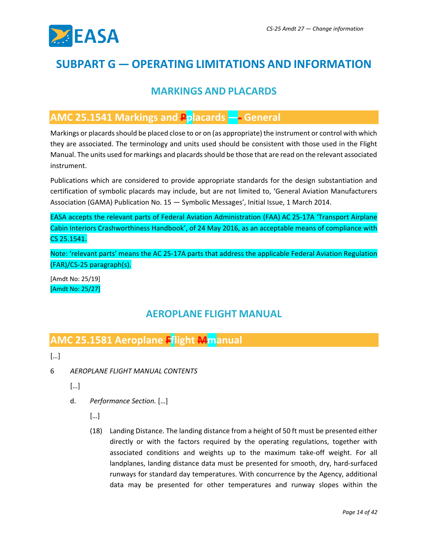

## **SUBPART G — OPERATING LIMITATIONS AND INFORMATION**

### **MARKINGS AND PLACARDS**

### **AMC 25.1541 Markings and Pplacards —- General**

Markings or placards should be placed close to or on (as appropriate) the instrument or control with which they are associated. The terminology and units used should be consistent with those used in the Flight Manual. The units used for markings and placards should be those that are read on the relevant associated instrument.

Publications which are considered to provide appropriate standards for the design substantiation and certification of symbolic placards may include, but are not limited to, 'General Aviation Manufacturers Association (GAMA) Publication No. 15 — Symbolic Messages', Initial Issue, 1 March 2014.

EASA accepts the relevant parts of Federal Aviation Administration (FAA) AC 25-17A 'Transport Airplane Cabin Interiors Crashworthiness Handbook', of 24 May 2016, as an acceptable means of compliance with CS 25.1541.

Note: 'relevant parts' means the AC 25-17A parts that address the applicable Federal Aviation Regulation (FAR)/CS-25 paragraph(s).

[Amdt No: 25/19] [Amdt No: 25/27]

### **AEROPLANE FLIGHT MANUAL**

### **AMC 25.1581 Aeroplane Fflight Mmanual**

[…]

- 6 *AEROPLANE FLIGHT MANUAL CONTENTS*
	- $[...]$
	- d. *Performance Section.* […]
		- […]
		- (18) Landing Distance. The landing distance from a height of 50 ft must be presented either directly or with the factors required by the operating regulations, together with associated conditions and weights up to the maximum take-off weight. For all landplanes, landing distance data must be presented for smooth, dry, hard-surfaced runways for standard day temperatures. With concurrence by the Agency, additional data may be presented for other temperatures and runway slopes within the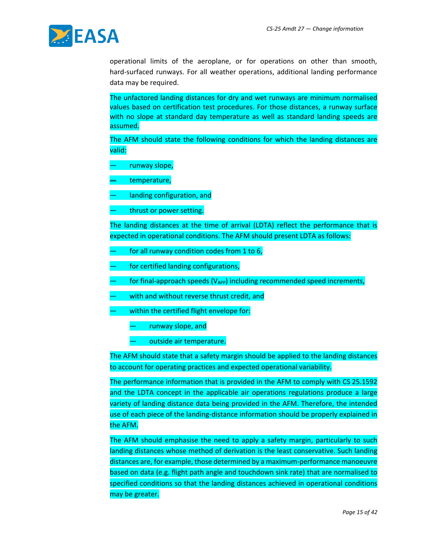

operational limits of the aeroplane, or for operations on other than smooth, hard-surfaced runways. For all weather operations, additional landing performance data may be required.

The unfactored landing distances for dry and wet runways are minimum normalised values based on certification test procedures. For those distances, a runway surface with no slope at standard day temperature as well as standard landing speeds are assumed.

The AFM should state the following conditions for which the landing distances are valid:

- runway slope,
- temperature,
- landing configuration, and
- thrust or power setting.

The landing distances at the time of arrival (LDTA) reflect the performance that is expected in operational conditions. The AFM should present LDTA as follows:

- for all runway condition codes from 1 to 6,
- for certified landing configurations,
- for final-approach speeds  $(V_{APP})$  including recommended speed increments,
- with and without reverse thrust credit, and
- within the certified flight envelope for:
	- runway slope, and
	- outside air temperature.

The AFM should state that a safety margin should be applied to the landing distances to account for operating practices and expected operational variability.

The performance information that is provided in the AFM to comply with CS 25.1592 and the LDTA concept in the applicable air operations regulations produce a large variety of landing distance data being provided in the AFM. Therefore, the intended use of each piece of the landing-distance information should be properly explained in the AFM.

The AFM should emphasise the need to apply a safety margin, particularly to such landing distances whose method of derivation is the least conservative. Such landing distances are, for example, those determined by a maximum-performance manoeuvre based on data (e.g. flight path angle and touchdown sink rate) that are normalised to specified conditions so that the landing distances achieved in operational conditions may be greater.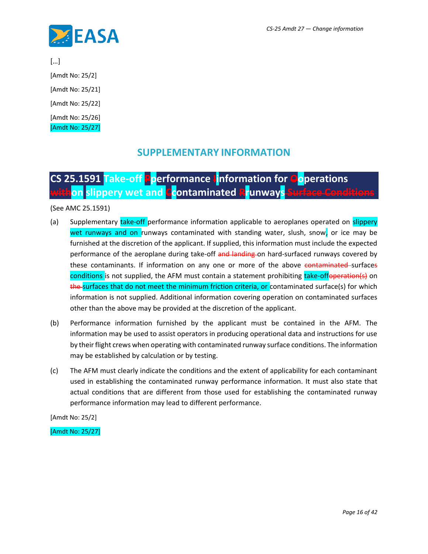

[…]

[Amdt No: 25/2]

[Amdt No: 25/21]

[Amdt No: 25/22]

[Amdt No: 25/26] [Amdt No: 25/27]

### **SUPPLEMENTARY INFORMATION**

## **CS 25.1591 Take-off Pperformance Iinformation for Ooperations withon** slippery wet and **Co**ntaminated **Rr**unways

(See AMC 25.1591)

- (a) Supplementary take-off performance information applicable to aeroplanes operated on slippery wet runways and on runways contaminated with standing water, slush, snow, or ice may be furnished at the discretion of the applicant. If supplied, this information must include the expected performance of the aeroplane during take-off and landing on hard-surfaced runways covered by these contaminants. If information on any one or more of the above contaminated surfaces conditions is not supplied, the AFM must contain a statement prohibiting take-offoperation(s) on the surfaces that do not meet the minimum friction criteria, or contaminated surface(s) for which information is not supplied. Additional information covering operation on contaminated surfaces other than the above may be provided at the discretion of the applicant.
- (b) Performance information furnished by the applicant must be contained in the AFM. The information may be used to assist operators in producing operational data and instructions for use by their flight crews when operating with contaminated runway surface conditions. The information may be established by calculation or by testing.
- (c) The AFM must clearly indicate the conditions and the extent of applicability for each contaminant used in establishing the contaminated runway performance information. It must also state that actual conditions that are different from those used for establishing the contaminated runway performance information may lead to different performance.

[Amdt No: 25/2]

[Amdt No: 25/27]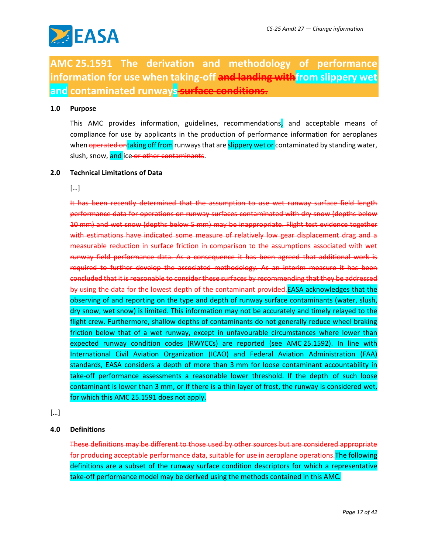

**AMC 25.1591 The derivation and methodology of performance**  information for use when taking-off and landing with from slippery wet **and contaminated runways surface conditions.**

#### **1.0 Purpose**

This AMC provides information, guidelines, recommendations, and acceptable means of compliance for use by applicants in the production of performance information for aeroplanes when operated ontaking off from runways that are slippery wet or contaminated by standing water, slush, snow, and ice or other contaminants.

#### **2.0 Technical Limitations of Data**

[…]

It has been recently determined that the assumption to use wet runway surface field length performance data for operations on runway surfaces contaminated with dry snow (depths below 10 mm) and wet snow (depths below 5 mm) may be inappropriate. Flight test evidence together with estimations have indicated some measure of relatively low gear displacement drag and a measurable reduction in surface friction in comparison to the assumptions associated with wet runway field performance data. As a consequence it has been agreed that additional work is required to further develop the associated methodology. As an interim measure it has been concluded that it is reasonable to consider these surfaces by recommending that they be addressed by using the data for the lowest depth of the contaminant provided. EASA acknowledges that the observing of and reporting on the type and depth of runway surface contaminants (water, slush, dry snow, wet snow) is limited. This information may not be accurately and timely relayed to the flight crew. Furthermore, shallow depths of contaminants do not generally reduce wheel braking friction below that of a wet runway, except in unfavourable circumstances where lower than expected runway condition codes (RWYCCs) are reported (see AMC 25.1592). In line with International Civil Aviation Organization (ICAO) and Federal Aviation Administration (FAA) standards, EASA considers a depth of more than 3 mm for loose contaminant accountability in take-off performance assessments a reasonable lower threshold. If the depth of such loose contaminant is lower than 3 mm, or if there is a thin layer of frost, the runway is considered wet, for which this AMC 25.1591 does not apply.

[…]

#### **4.0 Definitions**

These definitions may be different to those used by other sources but are considered appropriate for producing acceptable performance data, suitable for use in aeroplane operations.The following definitions are a subset of the runway surface condition descriptors for which a representative take-off performance model may be derived using the methods contained in this AMC.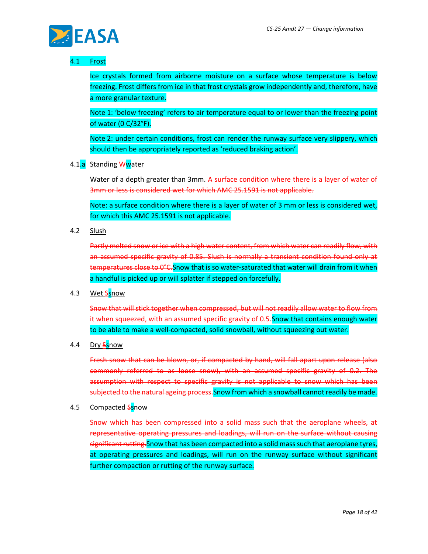

#### 4.1 Frost

Ice crystals formed from airborne moisture on a surface whose temperature is below freezing. Frost differs from ice in that frost crystals grow independently and, therefore, have a more granular texture.

Note 1: 'below freezing' refers to air temperature equal to or lower than the freezing point of water (0 C/32°F).

Note 2: under certain conditions, frost can render the runway surface very slippery, which should then be appropriately reported as 'reduced braking action'.

4.1.a Standing Wwater

Water of a depth greater than 3mm. A surface condition where there is a layer of water of 3mm or less is considered wet for which AMC 25.1591 is not applicable.

Note: a surface condition where there is a layer of water of 3 mm or less is considered wet, for which this AMC 25.1591 is not applicable.

4.2 Slush

Partly melted snow or ice with a high water content, from which water can readily flow, with an assumed specific gravity of 0.85. Slush is normally a transient condition found only at temperatures close to 0°C.Snow that is so water-saturated that water will drain from it when a handful is picked up or will splatter if stepped on forcefully.

4.3 Wet Ssnow

Snow that will stick together when compressed, but will not readily allow water to flow from it when squeezed, with an assumed specific gravity of 0.5.Snow that contains enough water to be able to make a well-compacted, solid snowball, without squeezing out water.

4.4 Dry Ssnow

Fresh snow that can be blown, or, if compacted by hand, will fall apart upon release (also commonly referred to as loose snow), with an assumed specific gravity of 0.2. The assumption with respect to specific gravity is not applicable to snow which has been subjected to the natural ageing process. Snow from which a snowball cannot readily be made.

4.5 Compacted Ssnow

Snow which has been compressed into a solid mass such that the aeroplane wheels, at representative operating pressures and loadings, will run on the surface without causing significant rutting. Snow that has been compacted into a solid mass such that aeroplane tyres, at operating pressures and loadings, will run on the runway surface without significant further compaction or rutting of the runway surface.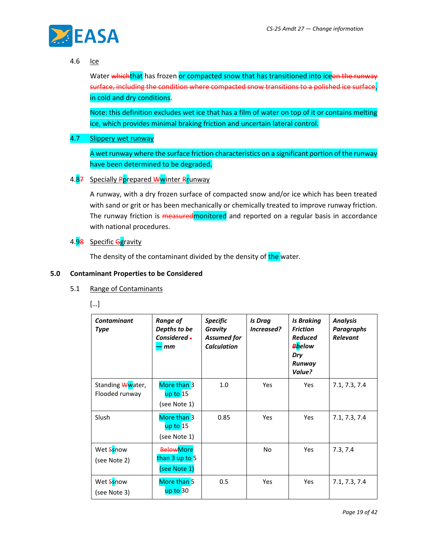

#### 4.6 Ice

Water whichthat has frozen or compacted snow that has transitioned into iceon the runway surface, including the condition where compacted snow transitions to a polished ice surface, in cold and dry conditions.

Note: this definition excludes wet ice that has a film of water on top of it or contains melting ice, which provides minimal braking friction and uncertain lateral control.

#### 4.7 Slippery wet runway

A wet runway where the surface friction characteristics on a significant portion of the runway have been determined to be degraded.

#### 4.87 Specially Pprepared Wwinter Rrunway

A runway, with a dry frozen surface of compacted snow and/or ice which has been treated with sand or grit or has been mechanically or chemically treated to improve runway friction. The runway friction is **measuredmonitored** and reported on a regular basis in accordance with national procedures.

#### 4.98 Specific Ggravity

The density of the contaminant divided by the density of the water.

#### **5.0 Contaminant Properties to be Considered**

#### 5.1 Range of Contaminants

[…]

| <b>Contaminant</b><br>Type         | <b>Range of</b><br>Depths to be<br>Considered -<br>mm | <b>Specific</b><br>Gravity<br><b>Assumed for</b><br><b>Calculation</b> | <b>Is Drag</b><br>Increased? | <b>Is Braking</b><br><b>Friction</b><br><b>Reduced</b><br><b>B</b> below<br>Dry<br>Runway<br>Value? | <b>Analysis</b><br>Paragraphs<br><b>Relevant</b> |
|------------------------------------|-------------------------------------------------------|------------------------------------------------------------------------|------------------------------|-----------------------------------------------------------------------------------------------------|--------------------------------------------------|
| Standing Wwater,<br>Flooded runway | More than 3<br>$up$ to $15$<br>(see Note 1)           | 1.0                                                                    | Yes                          | <b>Yes</b>                                                                                          | 7.1, 7.3, 7.4                                    |
| <b>Slush</b>                       | More than 3<br>up to 15<br>(see Note 1)               | 0.85                                                                   | Yes                          | Yes                                                                                                 | 7.1, 7.3, 7.4                                    |
| Wet Ssnow<br>(see Note 2)          | <b>BelowMore</b><br>than 3 up to 5<br>(see Note 1)    |                                                                        | No                           | Yes                                                                                                 | 7.3, 7.4                                         |
| Wet Ssnow<br>(see Note 3)          | More than 5<br>up to 30                               | 0.5                                                                    | Yes                          | <b>Yes</b>                                                                                          | 7.1, 7.3, 7.4                                    |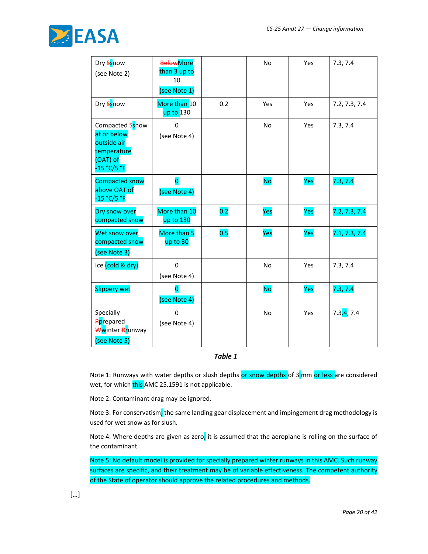

| Dry Ssnow<br>(see Note 2)                                                               | <b>BelowMore</b><br>than 3 up to<br>10<br>(see Note 1) |     | No        | Yes | 7.3, 7.4      |
|-----------------------------------------------------------------------------------------|--------------------------------------------------------|-----|-----------|-----|---------------|
| Dry Ssnow                                                                               | More than 10<br>up to 130                              | 0.2 | Yes       | Yes | 7.2, 7.3, 7.4 |
| Compacted Ssnow<br>at or below<br>outside air<br>temperature<br>(OAT) of<br>-15 °C/5 °F | 0<br>(see Note 4)                                      |     | No        | Yes | 7.3, 7.4      |
| <b>Compacted snow</b><br>above OAT of<br>-15 °C/5 °F                                    | $\overline{\mathbf{o}}$<br>(see Note 4)                |     | <b>No</b> | Yes | 7.3, 7.4      |
| Dry snow over<br>compacted snow                                                         | More than 10<br>up to 130                              | 0.2 | Yes       | Yes | 7.2, 7.3, 7.4 |
| Wet snow over<br>compacted snow<br>(see Note 3)                                         | More than 5<br>up to 30                                | 0.5 | Yes       | Yes | 7.1, 7.3, 7.4 |
| Ice (cold & dry)                                                                        | $\pmb{0}$<br>(see Note 4)                              |     | No        | Yes | 7.3, 7.4      |
| <b>Slippery wet</b>                                                                     | 0<br>(see Note 4)                                      |     | <b>No</b> | Yes | 7.3, 7.4      |
| Specially<br>Pprepared<br>Wwinter Rrunway<br>(see Note 5)                               | $\Omega$<br>(see Note 4)                               |     | No        | Yes | 7.3.4, 7.4    |

#### *Table 1*

Note 1: Runways with water depths or slush depths or snow depths of 3 mm or less are considered wet, for which this AMC 25.1591 is not applicable.

Note 2: Contaminant drag may be ignored.

Note 3: For conservatism, the same landing gear displacement and impingement drag methodology is used for wet snow as for slush.

Note 4: Where depths are given as zero, it is assumed that the aeroplane is rolling on the surface of the contaminant.

Note 5: No default model is provided for specially prepared winter runways in this AMC. Such runway surfaces are specific, and their treatment may be of variable effectiveness. The competent authority of the State of operator should approve the related procedures and methods.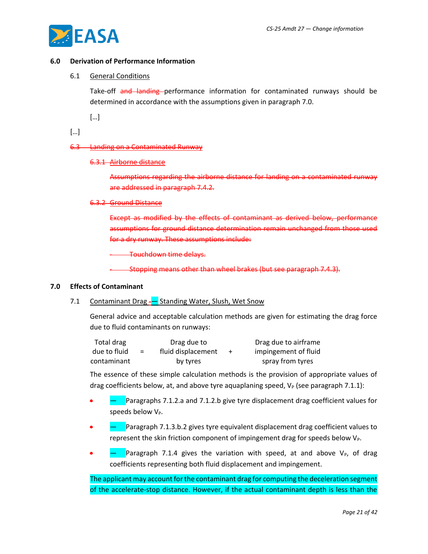

#### **6.0 Derivation of Performance Information**

#### 6.1 General Conditions

Take-off and landing performance information for contaminated runways should be determined in accordance with the assumptions given in paragraph 7.0.

[…]

[…]

#### 6.3 Landing on a Contaminated Runway

#### 6.3.1 Airborne distance

Assumptions regarding the airborne distance for landing on a contaminated runway are addressed in paragraph 7.4.2.

#### 6.3.2 Ground Distance

Except as modified by the effects of contaminant as derived below, performance assumptions for ground distance determination remain unchanged from those used for a dry runway. These assumptions include:

Touchdown time delays.

- Stopping means other than wheel brakes (but see paragraph 7.4.3).

#### **7.0 Effects of Contaminant**

#### 7.1 Contaminant Drag -- Standing Water, Slush, Wet Snow

General advice and acceptable calculation methods are given for estimating the drag force due to fluid contaminants on runways:

| Total drag   |     | Drag due to        | Drag due to airframe |
|--------------|-----|--------------------|----------------------|
| due to fluid | $=$ | fluid displacement | impingement of fluid |
| contaminant  |     | by tyres           | spray from tyres     |

The essence of these simple calculation methods is the provision of appropriate values of drag coefficients below, at, and above tyre aquaplaning speed,  $V_P$  (see paragraph 7.1.1):

- Paragraphs 7.1.2.a and 7.1.2.b give tyre displacement drag coefficient values for speeds below V<sub>P</sub>.
- • The Paragraph 7.1.3.b.2 gives tyre equivalent displacement drag coefficient values to represent the skin friction component of impingement drag for speeds below  $V_{P}$ .
- Paragraph 7.1.4 gives the variation with speed, at and above  $V_P$ , of drag coefficients representing both fluid displacement and impingement.

The applicant may account for the contaminant drag for computing the deceleration segment of the accelerate-stop distance. However, if the actual contaminant depth is less than the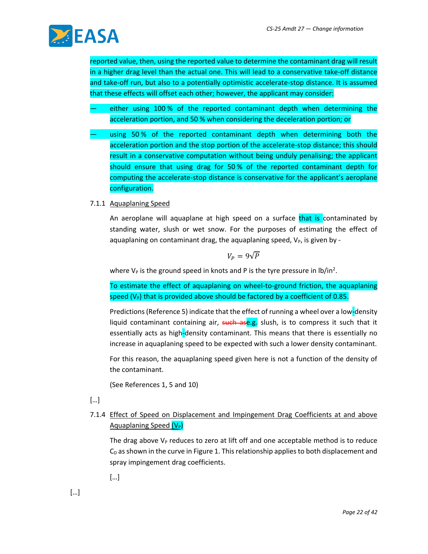

reported value, then, using the reported value to determine the contaminant drag will result in a higher drag level than the actual one. This will lead to a conservative take-off distance and take-off run, but also to a potentially optimistic accelerate-stop distance. It is assumed that these effects will offset each other; however, the applicant may consider:

- either using 100 % of the reported contaminant depth when determining the acceleration portion, and 50 % when considering the deceleration portion; or
- using 50 % of the reported contaminant depth when determining both the acceleration portion and the stop portion of the accelerate-stop distance; this should result in a conservative computation without being unduly penalising; the applicant should ensure that using drag for 50 % of the reported contaminant depth for computing the accelerate-stop distance is conservative for the applicant's aeroplane configuration.
- 7.1.1 Aquaplaning Speed

An aeroplane will aquaplane at high speed on a surface that is contaminated by standing water, slush or wet snow. For the purposes of estimating the effect of aquaplaning on contaminant drag, the aquaplaning speed,  $V_P$ , is given by -

$$
V_P=9\sqrt{P}
$$

where  $V_P$  is the ground speed in knots and P is the tyre pressure in lb/in<sup>2</sup>.

To estimate the effect of aquaplaning on wheel-to-ground friction, the aquaplaning speed  $(V_P)$  that is provided above should be factored by a coefficient of 0.85.

Predictions (Reference 5) indicate that the effect of running a wheel over a low-density liquid contaminant containing air, such ase.g. slush, is to compress it such that it essentially acts as high-density contaminant. This means that there is essentially no increase in aquaplaning speed to be expected with such a lower density contaminant.

For this reason, the aquaplaning speed given here is not a function of the density of the contaminant.

(See References 1, 5 and 10)

[…]

7.1.4 Effect of Speed on Displacement and Impingement Drag Coefficients at and above Aquaplaning Speed  $(V_P)$ 

The drag above  $V_P$  reduces to zero at lift off and one acceptable method is to reduce  $C<sub>D</sub>$  as shown in the curve in Figure 1. This relationship applies to both displacement and spray impingement drag coefficients.

[…]

[…]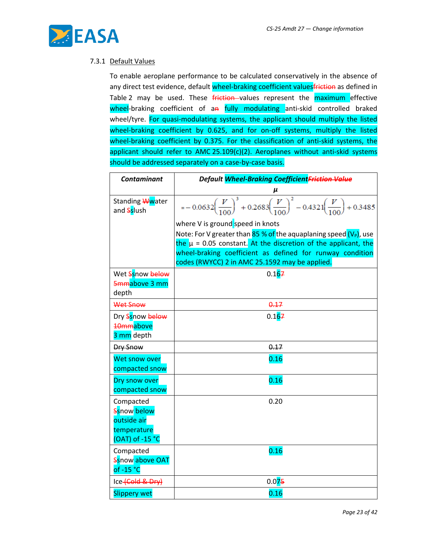

#### 7.3.1 Default Values

To enable aeroplane performance to be calculated conservatively in the absence of any direct test evidence, default wheel-braking coefficient valuesfriction as defined in Table 2 may be used. These **friction** values represent the maximum effective wheel-braking coefficient of an fully modulating anti-skid controlled braked wheel/tyre. For quasi-modulating systems, the applicant should multiply the listed wheel-braking coefficient by 0.625, and for on-off systems, multiply the listed wheel-braking coefficient by 0.375. For the classification of anti-skid systems, the applicant should refer to AMC 25.109(c)(2). Aeroplanes without anti-skid systems should be addressed separately on a case-by-case basis.

| <b>Contaminant</b>            | Default Wheel-Braking CoefficientFriction Value                                                                             |  |  |
|-------------------------------|-----------------------------------------------------------------------------------------------------------------------------|--|--|
|                               |                                                                                                                             |  |  |
| Standing Wwater<br>and Sslush | $= -0.0632 \left(\frac{V}{100}\right)^3 + 0.2683 \left(\frac{V}{100}\right)^2 - 0.4321 \left(\frac{V}{100}\right) + 0.3485$ |  |  |
|                               | where V is ground speed in knots                                                                                            |  |  |
|                               | Note: For V greater than 85 % of the aquaplaning speed (V <sub>P</sub> ), use                                               |  |  |
|                               | the $\mu$ = 0.05 constant. At the discretion of the applicant, the                                                          |  |  |
|                               | wheel-braking coefficient as defined for runway condition                                                                   |  |  |
|                               | codes (RWYCC) 2 in AMC 25.1592 may be applied.                                                                              |  |  |
| Wet Ssnow below               | 0.167                                                                                                                       |  |  |
| 5mmabove 3 mm                 |                                                                                                                             |  |  |
| depth                         |                                                                                                                             |  |  |
| Wet Snow                      | 0.17                                                                                                                        |  |  |
| Dry Ssnow below               | 0.167                                                                                                                       |  |  |
| 10mmabove                     |                                                                                                                             |  |  |
| 3 mm depth                    |                                                                                                                             |  |  |
| Dry Snow                      | 0.17                                                                                                                        |  |  |
| Wet snow over                 | 0.16                                                                                                                        |  |  |
| compacted snow                |                                                                                                                             |  |  |
| Dry snow over                 | 0.16                                                                                                                        |  |  |
| compacted snow                |                                                                                                                             |  |  |
| Compacted                     | 0.20                                                                                                                        |  |  |
| Ssnow below<br>outside air    |                                                                                                                             |  |  |
| temperature                   |                                                                                                                             |  |  |
| (OAT) of -15 °C               |                                                                                                                             |  |  |
| Compacted                     | 0.16                                                                                                                        |  |  |
| Ssnow above OAT               |                                                                                                                             |  |  |
| of $-15 °C$                   |                                                                                                                             |  |  |
| Ice-Cold & Dry)               | 0.075                                                                                                                       |  |  |
| <b>Slippery wet</b>           | 0.16                                                                                                                        |  |  |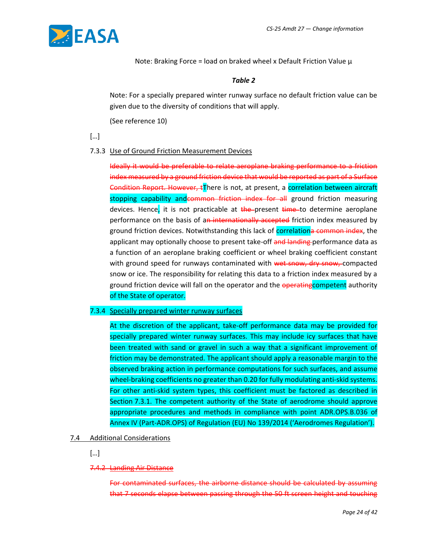

Note: Braking Force = load on braked wheel x Default Friction Value  $\mu$ 

#### *Table 2*

Note: For a specially prepared winter runway surface no default friction value can be given due to the diversity of conditions that will apply.

(See reference 10)

[…]

#### 7.3.3 Use of Ground Friction Measurement Devices

Ideally it would be preferable to relate aeroplane braking performance to a friction index measured by a ground friction device that would be reported as part of a Surface Condition Report. However,  $t\overline{I}$ here is not, at present, a correlation between aircraft stopping capability andcommon friction index for all ground friction measuring devices. Hence, it is not practicable at  $t$ he present  $t$ ime to determine aeroplane performance on the basis of an internationally accepted friction index measured by ground friction devices. Notwithstanding this lack of correlationa common index, the applicant may optionally choose to present take-off and landing performance data as a function of an aeroplane braking coefficient or wheel braking coefficient constant with ground speed for runways contaminated with wet snow, dry snow, compacted snow or ice. The responsibility for relating this data to a friction index measured by a ground friction device will fall on the operator and the operating competent authority of the State of operator.

#### 7.3.4 Specially prepared winter runway surfaces

At the discretion of the applicant, take-off performance data may be provided for specially prepared winter runway surfaces. This may include icy surfaces that have been treated with sand or gravel in such a way that a significant improvement of friction may be demonstrated. The applicant should apply a reasonable margin to the observed braking action in performance computations for such surfaces, and assume wheel-braking coefficients no greater than 0.20 for fully modulating anti-skid systems. For other anti-skid system types, this coefficient must be factored as described in Section 7.3.1. The competent authority of the State of aerodrome should approve appropriate procedures and methods in compliance with point ADR.OPS.B.036 of Annex IV (Part-ADR.OPS) of Regulation (EU) No 139/2014 ('Aerodromes Regulation').

#### 7.4 Additional Considerations

[…]

#### 7.4.2 Landing Air Distance

For contaminated surfaces, the airborne distance should be calculated by assuming that 7 seconds elapse between passing through the 50 ft screen height and touching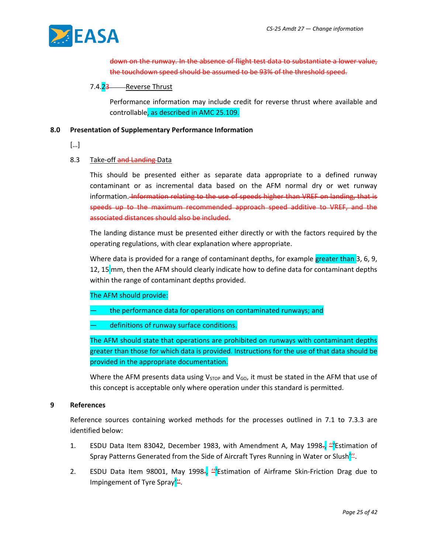

down on the runway. In the absence of flight test data to substantiate a lower value, the touchdown speed should be assumed to be 93% of the threshold speed.

#### 7.4.23 Reverse Thrust

Performance information may include credit for reverse thrust where available and controllable, as described in AMC 25.109.

#### **8.0 Presentation of Supplementary Performance Information**

[…]

#### 8.3 Take-off and Landing-Data

This should be presented either as separate data appropriate to a defined runway contaminant or as incremental data based on the AFM normal dry or wet runway information. Information relating to the use of speeds higher than VREF on landing, that is speeds up to the maximum recommended approach speed additive to VREF, and the associated distances should also be included.

The landing distance must be presented either directly or with the factors required by the operating regulations, with clear explanation where appropriate.

Where data is provided for a range of contaminant depths, for example greater than 3, 6, 9, 12, 15 mm, then the AFM should clearly indicate how to define data for contaminant depths within the range of contaminant depths provided.

#### The AFM should provide:

- the performance data for operations on contaminated runways; and
- definitions of runway surface conditions.

The AFM should state that operations are prohibited on runways with contaminant depths greater than those for which data is provided. Instructions for the use of that data should be provided in the appropriate documentation.

Where the AFM presents data using  $V_{STOP}$  and  $V_{GO}$ , it must be stated in the AFM that use of this concept is acceptable only where operation under this standard is permitted.

#### **9 References**

Reference sources containing worked methods for the processes outlined in 7.1 to 7.3.3 are identified below:

- 1. ESDU Data Item 83042, December 1983, with Amendment A, May 1998., "Estimation of Spray Patterns Generated from the Side of Aircraft Tyres Running in Water or Slush'".
- 2. ESDU Data Item 98001, May 1998 $\frac{1}{2}$  Estimation of Airframe Skin-Friction Drag due to Impingement of Tyre Spray".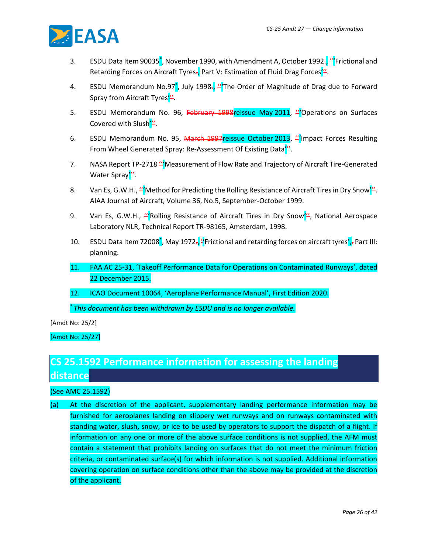

- 3. ESDU Data Item 90035<sup>\*</sup>, November 1990, with Amendment A, October 1992<del>., "</del>Frictional and Retarding Forces on Aircraft Tyres., Part V: Estimation of Fluid Drag Forces<sup>'"</sup>.
- 4. ESDU Memorandum No.97<sup>\*</sup>, July 1998-, <sup>"'</sup>The Order of Magnitude of Drag due to Forward Spray from Aircraft Tyres'".
- 5. ESDU Memorandum No. 96, February 1998 reissue May 2011, "Operations on Surfaces Covered with Slush'".
- 6. ESDU Memorandum No. 95, March 1997reissue October 2013, "Impact Forces Resulting From Wheel Generated Spray: Re-Assessment Of Existing Data<sup>'"</sup>.
- 7. NASA Report TP-2718 "Measurement of Flow Rate and Trajectory of Aircraft Tire-Generated Water Spray"'.
- 8. Van Es, G.W.H., "Nethod for Predicting the Rolling Resistance of Aircraft Tires in Dry Snow". AIAA Journal of Aircraft, Volume 36, No.5, September-October 1999.
- 9. Van Es, G.W.H., "Rolling Resistance of Aircraft Tires in Dry Snow", National Aerospace Laboratory NLR, Technical Report TR-98165, Amsterdam, 1998.
- 10. ESDU Data Item 72008<sup>\*</sup>, May 1972-, <sup>'</sup>'Frictional and retarding forces on aircraft tyres', *P*art III: planning.
- 11. FAA AC 25-31, 'Takeoff Performance Data for Operations on Contaminated Runways', dated 22 December 2015.
- 12. ICAO Document 10064, 'Aeroplane Performance Manual', First Edition 2020.

\* *This document has been withdrawn by ESDU and is no longer available.*

[Amdt No: 25/2]

[Amdt No: 25/27]

### **CS 25.1592 Performance information for assessing the landing distance**

#### (See AMC 25.1592)

(a) At the discretion of the applicant, supplementary landing performance information may be furnished for aeroplanes landing on slippery wet runways and on runways contaminated with standing water, slush, snow, or ice to be used by operators to support the dispatch of a flight. If information on any one or more of the above surface conditions is not supplied, the AFM must contain a statement that prohibits landing on surfaces that do not meet the minimum friction criteria, or contaminated surface(s) for which information is not supplied. Additional information covering operation on surface conditions other than the above may be provided at the discretion of the applicant.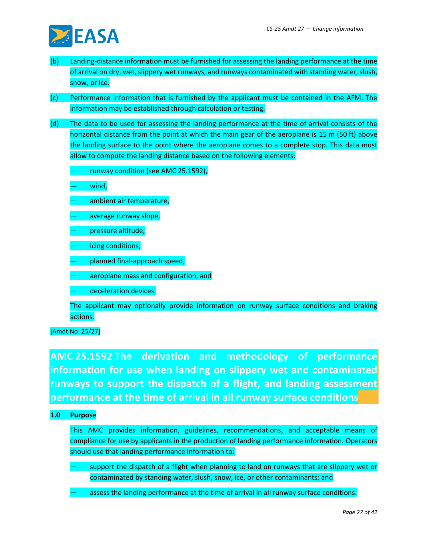

- (b) Landing-distance information must be furnished for assessing the landing performance at the time of arrival on dry, wet, slippery wet runways, and runways contaminated with standing water, slush, snow, or ice.
- (c) Performance information that is furnished by the applicant must be contained in the AFM. The information may be established through calculation or testing.
- (d) The data to be used for assessing the landing performance at the time of arrival consists of the horizontal distance from the point at which the main gear of the aeroplane is 15 m (50 ft) above the landing surface to the point where the aeroplane comes to a complete stop. This data must allow to compute the landing distance based on the following elements:
	- runway condition (see AMC 25.1592),
	- wind,
	- ambient air temperature,
	- average runway slope,
	- pressure altitude,
	- icing conditions,
	- planned final-approach speed,
	- aeroplane mass and configuration, and
	- deceleration devices.

The applicant may optionally provide information on runway surface conditions and braking actions.

[Amdt No: 25/27]

**AMC 25.1592 The derivation and methodology of performance information for use when landing on slippery wet and contaminated runways to support the dispatch of a flight, and landing assessment performance at the time of arrival in all runway surface conditions**

#### **1.0 Purpose**

This AMC provides information, guidelines, recommendations, and acceptable means of compliance for use by applicants in the production of landing performance information. Operators should use that landing performance information to:

- support the dispatch of a flight when planning to land on runways that are slippery wet or contaminated by standing water, slush, snow, ice, or other contaminants; and
- assess the landing performance at the time of arrival in all runway surface conditions.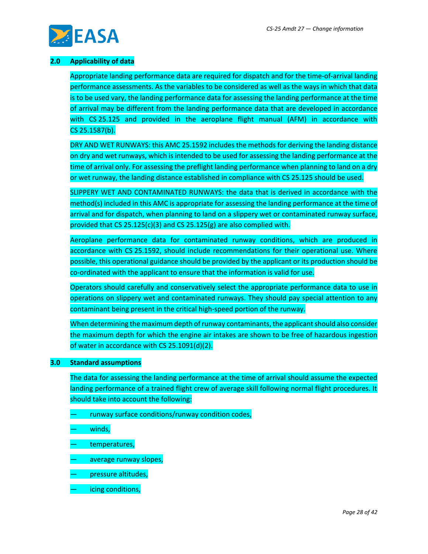

#### **2.0 Applicability of data**

Appropriate landing performance data are required for dispatch and for the time-of-arrival landing performance assessments. As the variables to be considered as well as the ways in which that data is to be used vary, the landing performance data for assessing the landing performance at the time of arrival may be different from the landing performance data that are developed in accordance with CS 25.125 and provided in the aeroplane flight manual (AFM) in accordance with CS 25.1587(b).

DRY AND WET RUNWAYS: this AMC 25.1592 includes the methods for deriving the landing distance on dry and wet runways, which is intended to be used for assessing the landing performance at the time of arrival only. For assessing the preflight landing performance when planning to land on a dry or wet runway, the landing distance established in compliance with CS 25.125 should be used.

SLIPPERY WET AND CONTAMINATED RUNWAYS: the data that is derived in accordance with the method(s) included in this AMC is appropriate for assessing the landing performance at the time of arrival and for dispatch, when planning to land on a slippery wet or contaminated runway surface, provided that CS 25.125(c)(3) and CS 25.125(g) are also complied with.

Aeroplane performance data for contaminated runway conditions, which are produced in accordance with CS 25.1592, should include recommendations for their operational use. Where possible, this operational guidance should be provided by the applicant or its production should be co-ordinated with the applicant to ensure that the information is valid for use.

Operators should carefully and conservatively select the appropriate performance data to use in operations on slippery wet and contaminated runways. They should pay special attention to any contaminant being present in the critical high-speed portion of the runway.

When determining the maximum depth of runway contaminants, the applicant should also consider the maximum depth for which the engine air intakes are shown to be free of hazardous ingestion of water in accordance with CS 25.1091(d)(2).

#### **3.0 Standard assumptions**

The data for assessing the landing performance at the time of arrival should assume the expected landing performance of a trained flight crew of average skill following normal flight procedures. It should take into account the following:

- runway surface conditions/runway condition codes,
- winds,
- temperatures,
- average runway slopes,
- pressure altitudes,
- icing conditions,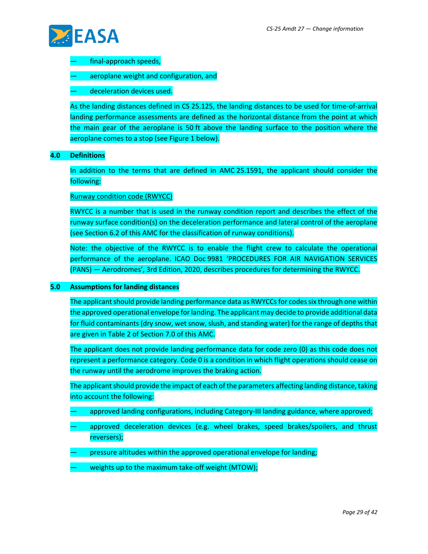

- final-approach speeds,
- aeroplane weight and configuration, and
- deceleration devices used.

As the landing distances defined in CS 25.125, the landing distances to be used for time-of-arrival landing performance assessments are defined as the horizontal distance from the point at which the main gear of the aeroplane is 50 ft above the landing surface to the position where the aeroplane comes to a stop (see Figure 1 below).

#### **4.0 Definitions**

In addition to the terms that are defined in AMC 25.1591, the applicant should consider the following:

#### Runway condition code (RWYCC)

RWYCC is a number that is used in the runway condition report and describes the effect of the runway surface condition(s) on the deceleration performance and lateral control of the aeroplane (see Section 6.2 of this AMC for the classification of runway conditions).

Note: the objective of the RWYCC is to enable the flight crew to calculate the operational performance of the aeroplane. ICAO Doc 9981 'PROCEDURES FOR AIR NAVIGATION SERVICES (PANS) — Aerodromes', 3rd Edition, 2020, describes procedures for determining the RWYCC.

#### **5.0 Assumptions for landing distances**

The applicant should provide landing performance data as RWYCCs for codes six through one within the approved operational envelope for landing. The applicant may decide to provide additional data for fluid contaminants (dry snow, wet snow, slush, and standing water) for the range of depths that are given in Table 2 of Section 7.0 of this AMC.

The applicant does not provide landing performance data for code zero (0) as this code does not represent a performance category. Code 0 is a condition in which flight operations should cease on the runway until the aerodrome improves the braking action.

The applicant should provide the impact of each of the parameters affecting landing distance, taking into account the following:

- approved landing configurations, including Category-III landing guidance, where approved;
- approved deceleration devices (e.g. wheel brakes, speed brakes/spoilers, and thrust reversers);
- pressure altitudes within the approved operational envelope for landing;
- weights up to the maximum take-off weight (MTOW);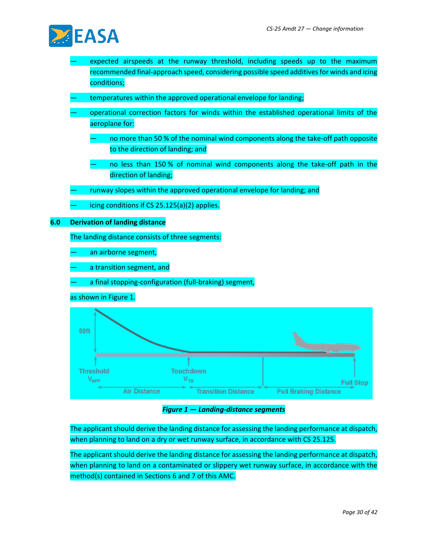

- expected airspeeds at the runway threshold, including speeds up to the maximum recommended final-approach speed, considering possible speed additives for winds and icing conditions;
- temperatures within the approved operational envelope for landing;
- operational correction factors for winds within the established operational limits of the aeroplane for:
	- no more than 50 % of the nominal wind components along the take-off path opposite to the direction of landing; and
	- no less than 150 % of nominal wind components along the take-off path in the direction of landing;
- runway slopes within the approved operational envelope for landing; and
- icing conditions if  $CS$  25.125(a)(2) applies.

**6.0 Derivation of landing distance**

The landing distance consists of three segments:

an airborne segment,

- a transition segment, and
- a final stopping-configuration (full-braking) segment,

as shown in Figure 1.



*Figure 1 — Landing-distance segments*

The applicant should derive the landing distance for assessing the landing performance at dispatch, when planning to land on a dry or wet runway surface, in accordance with CS 25.125.

The applicant should derive the landing distance for assessing the landing performance at dispatch, when planning to land on a contaminated or slippery wet runway surface, in accordance with the method(s) contained in Sections 6 and 7 of this AMC.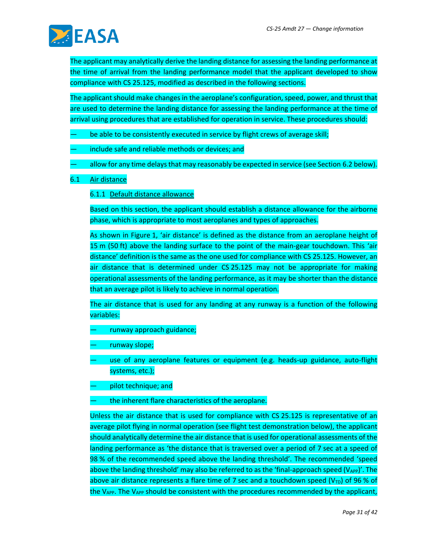

The applicant may analytically derive the landing distance for assessing the landing performance at the time of arrival from the landing performance model that the applicant developed to show compliance with CS 25.125, modified as described in the following sections.

The applicant should make changes in the aeroplane's configuration, speed, power, and thrust that are used to determine the landing distance for assessing the landing performance at the time of arrival using procedures that are established for operation in service. These procedures should:

- be able to be consistently executed in service by flight crews of average skill;
- include safe and reliable methods or devices; and
- allow for any time delays that may reasonably be expected in service (see Section 6.2 below).
- 6.1 Air distance

6.1.1 Default distance allowance

Based on this section, the applicant should establish a distance allowance for the airborne phase, which is appropriate to most aeroplanes and types of approaches.

As shown in Figure 1, 'air distance' is defined as the distance from an aeroplane height of 15 m (50 ft) above the landing surface to the point of the main-gear touchdown. This 'air distance' definition is the same as the one used for compliance with CS 25.125. However, an air distance that is determined under CS 25.125 may not be appropriate for making operational assessments of the landing performance, as it may be shorter than the distance that an average pilot is likely to achieve in normal operation.

The air distance that is used for any landing at any runway is a function of the following variables:

- runway approach guidance;
- runway slope;
- use of any aeroplane features or equipment (e.g. heads-up guidance, auto-flight systems, etc.);
- pilot technique; and
- the inherent flare characteristics of the aeroplane.

Unless the air distance that is used for compliance with CS 25.125 is representative of an average pilot flying in normal operation (see flight test demonstration below), the applicant should analytically determine the air distance that is used for operational assessments of the landing performance as 'the distance that is traversed over a period of 7 sec at a speed of 98 % of the recommended speed above the landing threshold'. The recommended 'speed above the landing threshold' may also be referred to as the 'final-approach speed  $(V_{APP})'$ . The above air distance represents a flare time of 7 sec and a touchdown speed (V<sub>TD</sub>) of 96 % of the  $V_{AP}$ . The  $V_{AP}$  should be consistent with the procedures recommended by the applicant,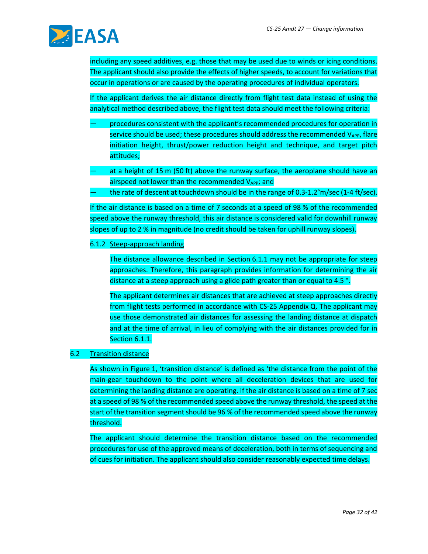

including any speed additives, e.g. those that may be used due to winds or icing conditions. The applicant should also provide the effects of higher speeds, to account for variations that occur in operations or are caused by the operating procedures of individual operators.

If the applicant derives the air distance directly from flight test data instead of using the analytical method described above, the flight test data should meet the following criteria:

- procedures consistent with the applicant's recommended procedures for operation in service should be used; these procedures should address the recommended  $V_{APP}$ , flare initiation height, thrust/power reduction height and technique, and target pitch attitudes;
- at a height of 15 m (50 ft) above the runway surface, the aeroplane should have an airspeed not lower than the recommended  $V_{APP}$ ; and
- the rate of descent at touchdown should be in the range of 0.3-1.2°m/sec (1-4 ft/sec).

If the air distance is based on a time of 7 seconds at a speed of 98 % of the recommended speed above the runway threshold, this air distance is considered valid for downhill runway slopes of up to 2 % in magnitude (no credit should be taken for uphill runway slopes).

#### 6.1.2 Steep-approach landing

The distance allowance described in Section 6.1.1 may not be appropriate for steep approaches. Therefore, this paragraph provides information for determining the air distance at a steep approach using a glide path greater than or equal to 4.5 °.

The applicant determines air distances that are achieved at steep approaches directly from flight tests performed in accordance with CS-25 Appendix Q. The applicant may use those demonstrated air distances for assessing the landing distance at dispatch and at the time of arrival, in lieu of complying with the air distances provided for in Section 6.1.1.

#### 6.2 Transition distance

As shown in Figure 1, 'transition distance' is defined as 'the distance from the point of the main-gear touchdown to the point where all deceleration devices that are used for determining the landing distance are operating. If the air distance is based on a time of 7 sec at a speed of 98 % of the recommended speed above the runway threshold, the speed at the start of the transition segment should be 96 % of the recommended speed above the runway threshold.

The applicant should determine the transition distance based on the recommended procedures for use of the approved means of deceleration, both in terms of sequencing and of cues for initiation. The applicant should also consider reasonably expected time delays.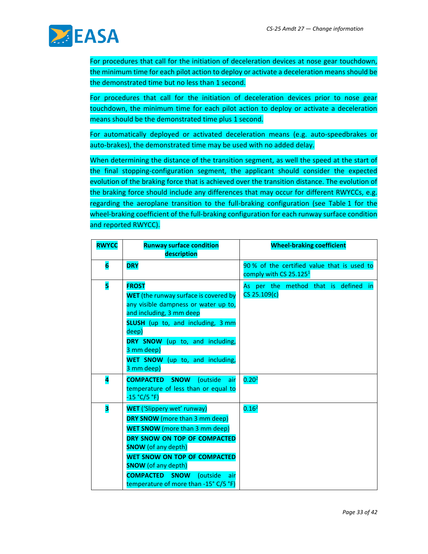

For procedures that call for the initiation of deceleration devices at nose gear touchdown, the minimum time for each pilot action to deploy or activate a deceleration means should be the demonstrated time but no less than 1 second.

For procedures that call for the initiation of deceleration devices prior to nose gear touchdown, the minimum time for each pilot action to deploy or activate a deceleration means should be the demonstrated time plus 1 second.

For automatically deployed or activated deceleration means (e.g. auto-speedbrakes or auto-brakes), the demonstrated time may be used with no added delay.

When determining the distance of the transition segment, as well the speed at the start of the final stopping-configuration segment, the applicant should consider the expected evolution of the braking force that is achieved over the transition distance. The evolution of the braking force should include any differences that may occur for different RWYCCs, e.g. regarding the aeroplane transition to the full-braking configuration (see Table 1 for the wheel-braking coefficient of the full-braking configuration for each runway surface condition and reported RWYCC).

| <b>RWYCC</b> | <b>Runway surface condition</b><br>description                                                                                                                                                                                                                                                                                                  | <b>Wheel-braking coefficient</b>                                                 |
|--------------|-------------------------------------------------------------------------------------------------------------------------------------------------------------------------------------------------------------------------------------------------------------------------------------------------------------------------------------------------|----------------------------------------------------------------------------------|
| 6            | <b>DRY</b>                                                                                                                                                                                                                                                                                                                                      | 90% of the certified value that is used to<br>comply with CS 25.125 <sup>1</sup> |
| 5            | <b>FROST</b><br><b>WET</b> (the runway surface is covered by<br>any visible dampness or water up to,<br>and including, 3 mm deep<br><b>SLUSH</b> (up to, and including, 3 mm<br>deep)<br>DRY SNOW (up to, and including,<br>3 mm deep)<br>WET SNOW (up to, and including,<br>3 mm deep)                                                         | As per the method that is defined in<br>$CS$ 25.109(c)                           |
| 4            | <b>COMPACTED SNOW</b><br>(outside<br>air<br>temperature of less than or equal to<br>$-15 °C/5 °F)$                                                                                                                                                                                                                                              | 0.20 <sup>2</sup>                                                                |
| 3            | <b>WET</b> ('Slippery wet' runway)<br>DRY SNOW (more than 3 mm deep)<br><b>WET SNOW</b> (more than 3 mm deep)<br>DRY SNOW ON TOP OF COMPACTED<br><b>SNOW</b> (of any depth)<br><b>WET SNOW ON TOP OF COMPACTED</b><br><b>SNOW</b> (of any depth)<br><b>COMPACTED</b><br><b>SNOW</b><br>(outside<br>air<br>temperature of more than -15° C/5 °F) | 0.16 <sup>2</sup>                                                                |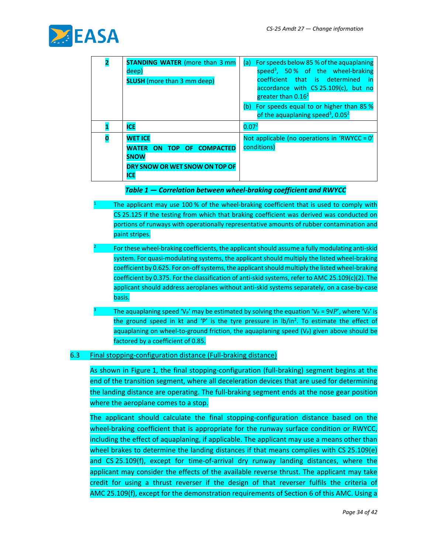

2

| <b>STANDING WATER (more than 3 mm</b><br>deep)<br><b>SLUSH</b> (more than 3 mm deep) | For speeds below 85 % of the aquaplaning<br>(a)<br>speed <sup>3</sup> , 50% of the wheel-braking<br>coefficient that is determined in<br>accordance with CS 25.109(c), but no<br>greater than 0.16 <sup>2</sup> |  |
|--------------------------------------------------------------------------------------|-----------------------------------------------------------------------------------------------------------------------------------------------------------------------------------------------------------------|--|
|                                                                                      | (b) For speeds equal to or higher than 85 %<br>of the aquaplaning speed <sup>3</sup> , 0.05 <sup>2</sup>                                                                                                        |  |
| <b>ICE</b>                                                                           | 0.07 <sup>2</sup>                                                                                                                                                                                               |  |
| <b>WET ICE</b>                                                                       | Not applicable (no operations in 'RWYCC = 0'                                                                                                                                                                    |  |
| WATER ON TOP OF COMPACTED<br><b>SNOW</b>                                             | conditions)                                                                                                                                                                                                     |  |
| DRY SNOW OR WET SNOW ON TOP OF<br><b>ICE</b>                                         |                                                                                                                                                                                                                 |  |

#### *Table 1 — Correlation between wheel-braking coefficient and RWYCC*

- The applicant may use 100 % of the wheel-braking coefficient that is used to comply with CS 25.125 if the testing from which that braking coefficient was derived was conducted on portions of runways with operationally representative amounts of rubber contamination and paint stripes.
- For these wheel-braking coefficients, the applicant should assume a fully modulating anti-skid system. For quasi-modulating systems, the applicant should multiply the listed wheel-braking coefficient by 0.625. For on-off systems, the applicant should multiply the listed wheel-braking coefficient by 0.375. For the classification of anti-skid systems, refer to AMC 25.109(c)(2). The applicant should address aeroplanes without anti-skid systems separately, on a case-by-case basis.
- The aquaplaning speed 'V<sub>P</sub>' may be estimated by solving the equation 'V<sub>P</sub> = 9√P', where 'V<sub>P</sub>' is the ground speed in kt and 'P' is the tyre pressure in lb/in<sup>2</sup>. To estimate the effect of aquaplaning on wheel-to-ground friction, the aquaplaning speed  $(V_P)$  given above should be factored by a coefficient of 0.85.

#### 6.3 Final stopping-configuration distance (Full-braking distance)

As shown in Figure 1, the final stopping-configuration (full-braking) segment begins at the end of the transition segment, where all deceleration devices that are used for determining the landing distance are operating. The full-braking segment ends at the nose gear position where the aeroplane comes to a stop.

The applicant should calculate the final stopping-configuration distance based on the wheel-braking coefficient that is appropriate for the runway surface condition or RWYCC, including the effect of aquaplaning, if applicable. The applicant may use a means other than wheel brakes to determine the landing distances if that means complies with CS 25.109(e) and CS 25.109(f), except for time-of-arrival dry runway landing distances, where the applicant may consider the effects of the available reverse thrust. The applicant may take credit for using a thrust reverser if the design of that reverser fulfils the criteria of AMC 25.109(f), except for the demonstration requirements of Section 6 of this AMC. Using a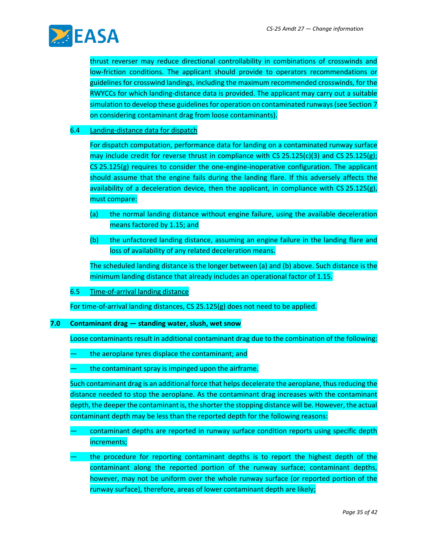

thrust reverser may reduce directional controllability in combinations of crosswinds and low-friction conditions. The applicant should provide to operators recommendations or guidelines for crosswind landings, including the maximum recommended crosswinds, for the RWYCCs for which landing-distance data is provided. The applicant may carry out a suitable simulation to develop these guidelines for operation on contaminated runways (see Section 7 on considering contaminant drag from loose contaminants).

#### 6.4 Landing-distance data for dispatch

For dispatch computation, performance data for landing on a contaminated runway surface may include credit for reverse thrust in compliance with CS 25.125(c)(3) and CS 25.125(g); CS 25.125(g) requires to consider the one-engine-inoperative configuration. The applicant should assume that the engine fails during the landing flare. If this adversely affects the availability of a deceleration device, then the applicant, in compliance with CS 25.125(g), must compare:

- (a) the normal landing distance without engine failure, using the available deceleration means factored by 1.15; and
- (b) the unfactored landing distance, assuming an engine failure in the landing flare and loss of availability of any related deceleration means.

The scheduled landing distance is the longer between (a) and (b) above. Such distance is the minimum landing distance that already includes an operational factor of 1.15.

6.5 Time-of-arrival landing distance

For time-of-arrival landing distances, CS 25.125(g) does not need to be applied.

#### **7.0 Contaminant drag — standing water, slush, wet snow**

Loose contaminants result in additional contaminant drag due to the combination of the following:

- the aeroplane tyres displace the contaminant; and
- the contaminant spray is impinged upon the airframe.

Such contaminant drag is an additional force that helps decelerate the aeroplane, thusreducing the distance needed to stop the aeroplane. As the contaminant drag increases with the contaminant depth, the deeper the contaminant is, the shorter the stopping distance will be. However, the actual contaminant depth may be less than the reported depth for the following reasons:

- contaminant depths are reported in runway surface condition reports using specific depth increments;
- the procedure for reporting contaminant depths is to report the highest depth of the contaminant along the reported portion of the runway surface; contaminant depths, however, may not be uniform over the whole runway surface (or reported portion of the runway surface), therefore, areas of lower contaminant depth are likely;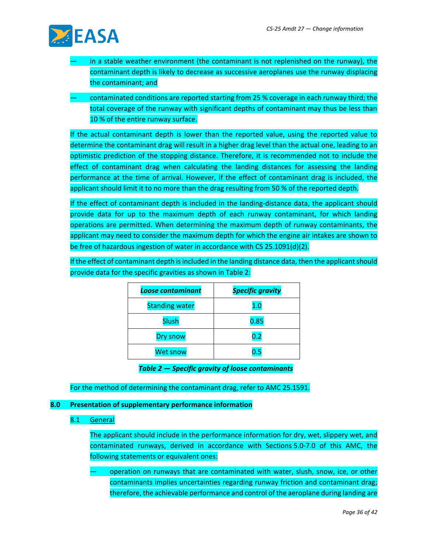

- in a stable weather environment (the contaminant is not replenished on the runway), the contaminant depth is likely to decrease as successive aeroplanes use the runway displacing the contaminant; and
- contaminated conditions are reported starting from 25 % coverage in each runway third; the total coverage of the runway with significant depths of contaminant may thus be less than 10 % of the entire runway surface.

If the actual contaminant depth is lower than the reported value, using the reported value to determine the contaminant drag will result in a higher drag level than the actual one, leading to an optimistic prediction of the stopping distance. Therefore, it is recommended not to include the effect of contaminant drag when calculating the landing distances for assessing the landing performance at the time of arrival. However, if the effect of contaminant drag is included, the applicant should limit it to no more than the drag resulting from 50 % of the reported depth.

If the effect of contaminant depth is included in the landing-distance data, the applicant should provide data for up to the maximum depth of each runway contaminant, for which landing operations are permitted. When determining the maximum depth of runway contaminants, the applicant may need to consider the maximum depth for which the engine air intakes are shown to be free of hazardous ingestion of water in accordance with CS 25.1091(d)(2).

If the effect of contaminant depth is included in the landing distance data, then the applicant should provide data for the specific gravities as shown in Table 2:

| <b>Loose contaminant</b> | <b>Specific gravity</b> |
|--------------------------|-------------------------|
| <b>Standing water</b>    | $1.0\,$                 |
| <b>Slush</b>             | 0.85                    |
| Dry snow                 | 0.2                     |
| <b>Wet snow</b>          | 0.5                     |

*Table 2 — Specific gravity of loose contaminants*

For the method of determining the contaminant drag, refer to AMC 25.1591.

#### **8.0 Presentation of supplementary performance information**

#### 8.1 General

The applicant should include in the performance information for dry, wet, slippery wet, and contaminated runways, derived in accordance with Sections 5.0-7.0 of this AMC, the following statements or equivalent ones:

— operation on runways that are contaminated with water, slush, snow, ice, or other contaminants implies uncertainties regarding runway friction and contaminant drag; therefore, the achievable performance and control of the aeroplane during landing are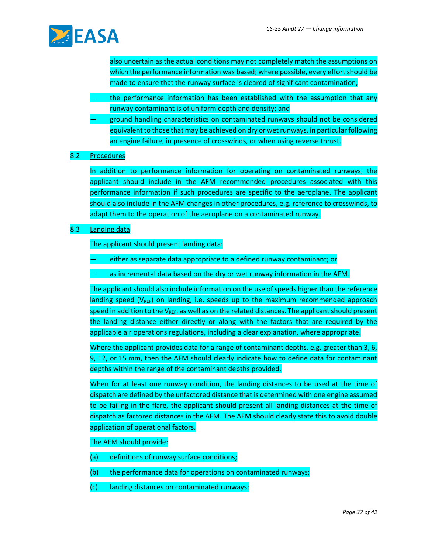

also uncertain as the actual conditions may not completely match the assumptions on which the performance information was based; where possible, every effort should be made to ensure that the runway surface is cleared of significant contamination;

- the performance information has been established with the assumption that any runway contaminant is of uniform depth and density; and
- ground handling characteristics on contaminated runways should not be considered equivalent to those that may be achieved on dry or wet runways, in particular following an engine failure, in presence of crosswinds, or when using reverse thrust.

#### 8.2 Procedures

In addition to performance information for operating on contaminated runways, the applicant should include in the AFM recommended procedures associated with this performance information if such procedures are specific to the aeroplane. The applicant should also include in the AFM changes in other procedures, e.g. reference to crosswinds, to adapt them to the operation of the aeroplane on a contaminated runway.

#### 8.3 Landing data

The applicant should present landing data:

- either as separate data appropriate to a defined runway contaminant; or
- as incremental data based on the dry or wet runway information in the AFM.

The applicant should also include information on the use of speeds higher than the reference landing speed ( $V_{REF}$ ) on landing, i.e. speeds up to the maximum recommended approach speed in addition to the  $V_{REF}$ , as well as on the related distances. The applicant should present the landing distance either directly or along with the factors that are required by the applicable air operations regulations, including a clear explanation, where appropriate.

Where the applicant provides data for a range of contaminant depths, e.g. greater than 3, 6, 9, 12, or 15 mm, then the AFM should clearly indicate how to define data for contaminant depths within the range of the contaminant depths provided.

When for at least one runway condition, the landing distances to be used at the time of dispatch are defined by the unfactored distance that is determined with one engine assumed to be failing in the flare, the applicant should present all landing distances at the time of dispatch as factored distances in the AFM. The AFM should clearly state this to avoid double application of operational factors.

#### The AFM should provide:

- (a) definitions of runway surface conditions;
- (b) the performance data for operations on contaminated runways;
- (c) landing distances on contaminated runways;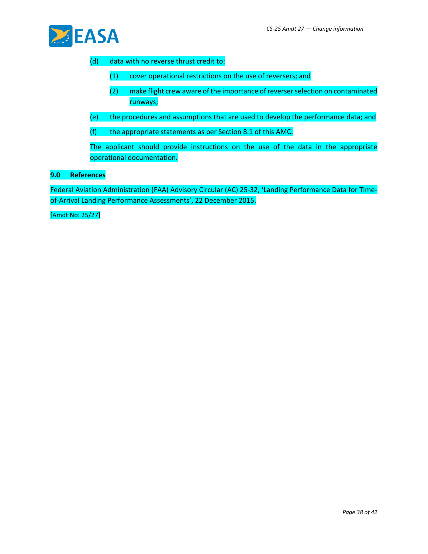

#### (d) data with no reverse thrust credit to:

- (1) cover operational restrictions on the use of reversers; and
- (2) make flight crew aware of the importance of reverser selection on contaminated runways;
- (e) the procedures and assumptions that are used to develop the performance data; and
- (f) the appropriate statements as per Section 8.1 of this AMC.

The applicant should provide instructions on the use of the data in the appropriate operational documentation.

#### **9.0 References**

Federal Aviation Administration (FAA) Advisory Circular (AC) 25-32, 'Landing Performance Data for Timeof-Arrival Landing Performance Assessments', 22 December 2015.

[Amdt No: 25/27]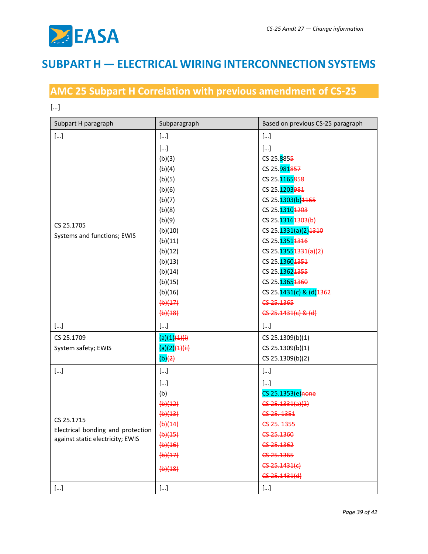

## **SUBPART H — ELECTRICAL WIRING INTERCONNECTION SYSTEMS**

## **AMC 25 Subpart H Correlation with previous amendment of CS-25**

[…]

| Subpart H paragraph                                                   | Subparagraph                | Based on previous CS-25 paragraph |
|-----------------------------------------------------------------------|-----------------------------|-----------------------------------|
| $[]$                                                                  | $[]$                        | $[]$                              |
|                                                                       | $[]$<br>(b)(3)              | $[]$<br>CS 25.8855                |
|                                                                       | (b)(4)                      | CS 25.981857                      |
|                                                                       | (b)(5)                      | CS 25.1165858                     |
|                                                                       | (b)(6)                      | CS 25.1203981                     |
|                                                                       | (b)(7)                      | CS 25.1303(b) 1165                |
|                                                                       | (b)(8)                      | CS 25.13101203                    |
| CS 25.1705                                                            | (b)(9)                      | CS 25.13161303(b)                 |
|                                                                       | (b)(10)                     | CS 25.1331(a)(2)1310              |
| Systems and functions; EWIS                                           | (b)(11)                     | CS 25.13514316                    |
|                                                                       | (b)(12)                     | CS 25.13554331(a)(2)              |
|                                                                       | (b)(13)                     | CS 25.13601351                    |
|                                                                       | (b)(14)                     | CS 25.13624355                    |
|                                                                       | (b)(15)                     | CS 25.13654360                    |
|                                                                       | (b)(16)                     | CS 25.1431(c) & (d) 1362          |
|                                                                       | (b)(17)                     | CS-25.1365                        |
|                                                                       | $\left(\frac{b}{18}\right)$ | $CS$ 25.1431(c) & (d)             |
| $[]$                                                                  | $[]$                        | $[]$                              |
| CS 25.1709                                                            | $(a)(1)$ $(1)$              | CS 25.1309(b)(1)                  |
| System safety; EWIS                                                   | $(a)(2)$ $(4)$ $(iii)$      | CS 25.1309(b)(1)                  |
|                                                                       | (b)(2)                      | CS 25.1309(b)(2)                  |
| $[ \ldots ]$                                                          | $[]$                        | $[]$                              |
|                                                                       | $[]$                        | $[]$                              |
|                                                                       | (b)                         | CS 25.1353(e) none                |
|                                                                       | (b)(12)                     | $CS$ -25.1331(a)(2)               |
|                                                                       | (b)(13)                     | CS 25.1351                        |
| CS 25.1715                                                            | (b)(14)                     | CS-25.1355                        |
| Electrical bonding and protection<br>against static electricity; EWIS | $\left(\frac{b}{15}\right)$ | CS-25.1360                        |
|                                                                       | (b)(16)                     | CS-25.1362                        |
|                                                                       | (b)(17)                     | CS 25.1365                        |
|                                                                       | $\left(\frac{b}{18}\right)$ | $C5 - 25 - 1431(c)$               |
|                                                                       |                             | $C5 - 25.1431(d)$                 |
| $[]$                                                                  | $[\ldots]$                  | $[]$                              |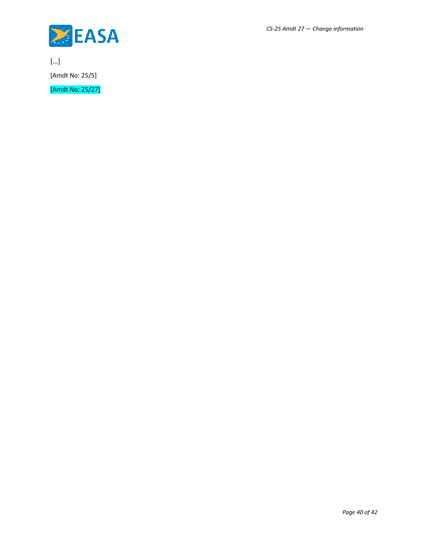

[…] [Amdt No: 25/5]

[Amdt No: 25/27]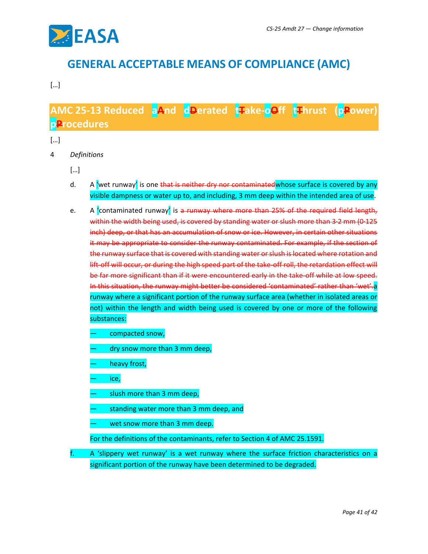

## **GENERAL ACCEPTABLE MEANS OF COMPLIANCE (AMC)**

#### […]

## **AMC 25-13 Reduced aAnd dDerated tTake-oOff tThrust (pPower) pProcedures**

#### […]

- 4 *Definitions*
	- […]
	- d. A 'wet runway' is one that is neither dry nor contaminated whose surface is covered by any visible dampness or water up to, and including, 3 mm deep within the intended area of use.
	- e. A contaminated runway is a runway where more than 25% of the required field length, within the width being used, is covered by standing water or slush more than 3·2 mm (0·125 inch) deep, or that has an accumulation of snow or ice. However, in certain other situations it may be appropriate to consider the runway contaminated. For example, if the section of the runway surface that is covered with standing water or slush is located where rotation and lift-off will occur, or during the high speed part of the take-off roll, the retardation effect will be far more significant than if it were encountered early in the take-off while at low speed. In this situation, the runway might better be considered 'contaminated' rather than 'wet'.a runway where a significant portion of the runway surface area (whether in isolated areas or not) within the length and width being used is covered by one or more of the following substances:
		- compacted snow,
		- dry snow more than 3 mm deep,
		- heavy frost,
		- ice,
		- slush more than 3 mm deep,
		- standing water more than 3 mm deep, and
		- wet snow more than 3 mm deep.
		- For the definitions of the contaminants, refer to Section 4 of AMC 25.1591.
	- f. A 'slippery wet runway' is a wet runway where the surface friction characteristics on a significant portion of the runway have been determined to be degraded.